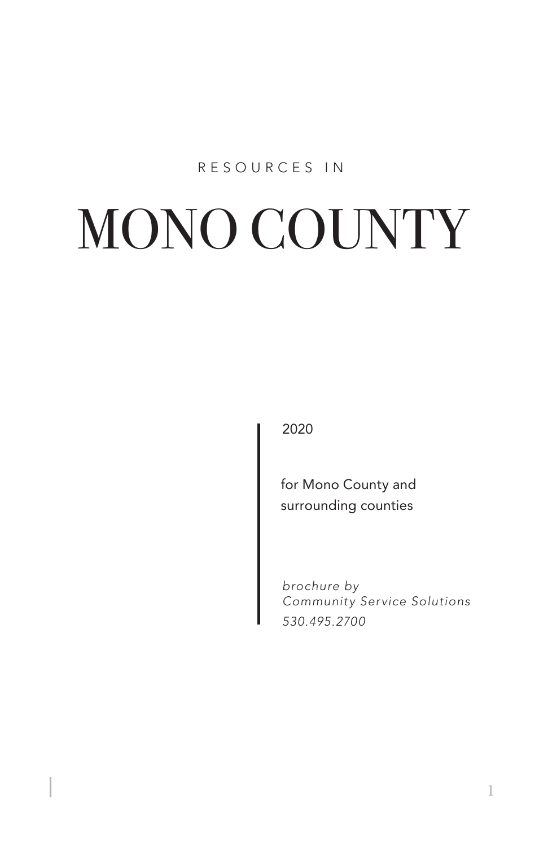## RESOURCES IN

# MONO COUNTY

2020

for Mono County and surrounding counties

*brochure by Community Service Solutions 530.495.2700*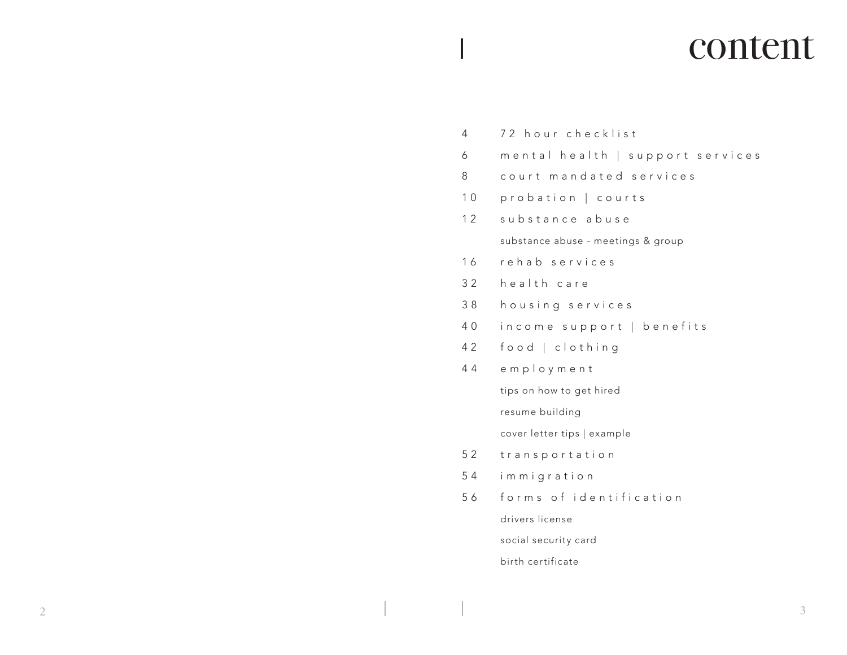# content

4 72 hour checklist 6 mental health | support services 8 court mandated services 10 probation | courts 12 substance abuse substance abuse - meetings & group 16 rehab services 3 2 health care 3 8 housing services 4 0 income support | benefits 4 2 food | clothing 4 4 employment tips on how to get hired resume building cover letter tips | example 52 transportation 5 4 immigration 5 6 forms of identification drivers license social security card birth certificate

 $\overline{a}$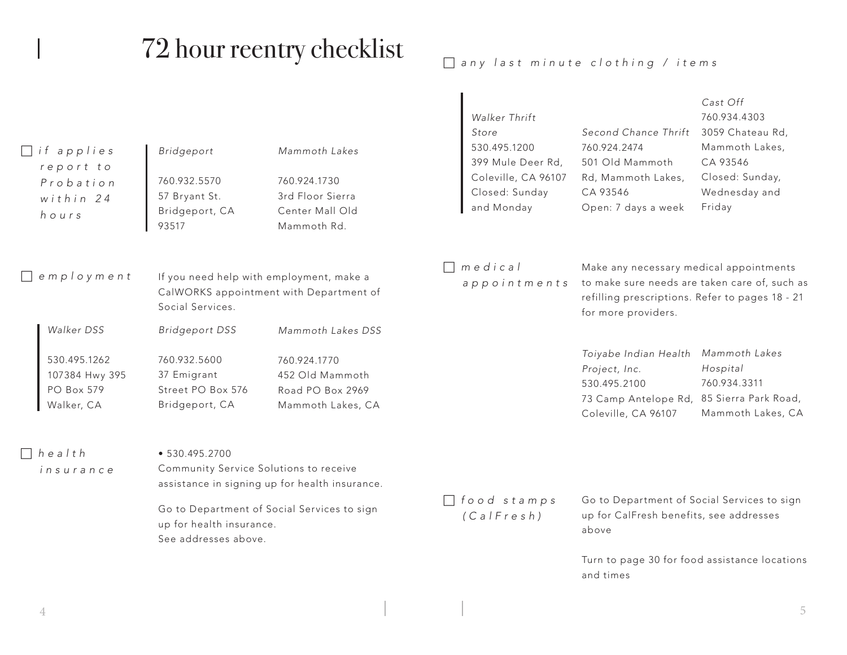# 72 hour reentry checklist

*any last minute clothing / items*

| $\Box$ if applies<br>report to<br>Probation<br>within 24<br>hours               | Bridgeport<br>760.932.5570<br>57 Bryant St.<br>Bridgeport, CA<br>93517                      | Mammoth Lakes<br>760.924.1730<br>3rd Floor Sierra<br>Center Mall Old<br>Mammoth Rd.           | Walker Thrift<br>Store<br>530.495.1200<br>399 Mule Deer Rd,<br>Coleville, CA 96107<br>Closed: Sunday<br>and Monday | Second Chance Thrift<br>760.924.2474<br>501 Old Mammoth<br>Rd, Mammoth Lakes,<br>CA 93546<br>Open: 7 days a week                                                   | Cast Off<br>760.934.4303<br>3059 Chateau Rd,<br>Mammoth Lakes,<br>CA 93546<br>Closed: Sunday,<br>Wednesday and<br>Friday |
|---------------------------------------------------------------------------------|---------------------------------------------------------------------------------------------|-----------------------------------------------------------------------------------------------|--------------------------------------------------------------------------------------------------------------------|--------------------------------------------------------------------------------------------------------------------------------------------------------------------|--------------------------------------------------------------------------------------------------------------------------|
| $\Box$ employment                                                               | Social Services.                                                                            | If you need help with employment, make a<br>CalWORKS appointment with Department of           | medical<br>appointments                                                                                            | Make any necessary medical appointments<br>to make sure needs are taken care of, such as<br>refilling prescriptions. Refer to pages 18 - 21<br>for more providers. |                                                                                                                          |
| Walker DSS<br>530.495.1262<br>107384 Hwy 395<br><b>PO Box 579</b><br>Walker, CA | <b>Bridgeport DSS</b><br>760.932.5600<br>37 Emigrant<br>Street PO Box 576<br>Bridgeport, CA | Mammoth Lakes DSS<br>760.924.1770<br>452 Old Mammoth<br>Road PO Box 2969<br>Mammoth Lakes, CA |                                                                                                                    | Toiyabe Indian Health<br>Project, Inc.<br>530.495.2100<br>73 Camp Antelope Rd, 85 Sierra Park Road,<br>Coleville, CA 96107                                         | Mammoth Lakes<br>Hospital<br>760.934.3311<br>Mammoth Lakes, CA                                                           |
| $\Box$ health<br>insurance                                                      | • 530.495.2700<br>Community Service Solutions to receive<br>up for health insurance.        | assistance in signing up for health insurance.<br>Go to Department of Social Services to sign | food stamps<br>$(Ca \mid Fres h)$                                                                                  | Go to Department of Social Services to sign<br>up for CalFresh benefits, see addresses                                                                             |                                                                                                                          |
|                                                                                 | See addresses above.                                                                        |                                                                                               |                                                                                                                    | above<br>and times                                                                                                                                                 | Turn to page 30 for food assistance locations                                                                            |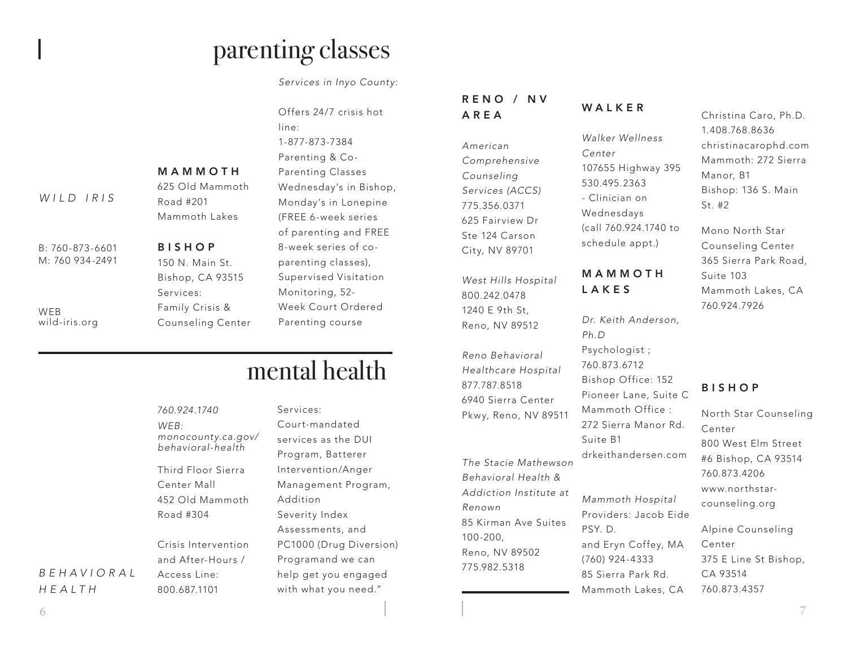# parenting classes

*Services in Inyo County:*

|                 |                   | Offers 24        |
|-----------------|-------------------|------------------|
|                 |                   | line:            |
|                 |                   | 1-877-873        |
|                 |                   | Parenting        |
|                 | MAMMOTH           | Parenting        |
|                 | 625 Old Mammoth   | Wednesd          |
| WILD IRIS       | Road #201         | Monday's         |
|                 | Mammoth Lakes     | $(FREE 6-v)$     |
|                 |                   | of parent        |
| B: 760-873-6601 | <b>BISHOP</b>     | 8-week s         |
| M: 760 934-2491 | 150 N. Main St.   | parenting        |
|                 | Bishop, CA 93515  | <b>Supervise</b> |
|                 | Services:         | Monitorir        |
| WEB             | Family Crisis &   | Week Co          |
| wild-iris.org   | Counseling Center | Parenting        |
|                 |                   |                  |

 $1/7$  crisis hot 3-7384  $a & Co$ a Classes lay's in Bishop, s in Lonepine week series ting and FREE eries of cog classes), ed Visitation na. 52urt Ordered q course

# mental health

|            | 760.924.1740        | Services:               | 0 / 10 0 0 1 0 1 0<br>Pkwy, Reno, |
|------------|---------------------|-------------------------|-----------------------------------|
|            | WEB:                | Court-mandated          |                                   |
|            | monocounty.ca.gov/  | services as the DUI     |                                   |
|            | behavioral-health   | Program, Batterer       | The Stacie M                      |
|            | Third Floor Sierra  | Intervention/Anger      | Behavioral H                      |
|            | Center Mall         | Management Program,     | Addiction In                      |
|            | 452 Old Mammoth     | Addition                |                                   |
|            | Road #304           | Severity Index          | Renown<br>85 Kirman Ay            |
|            |                     | Assessments, and        | $100 - 200$                       |
|            | Crisis Intervention | PC1000 (Drug Diversion) | Reno, NV 89!                      |
|            | and After-Hours /   | Programand we can       | 775.982.5318                      |
| BEHAVIORAL | Access Line:        | help get you engaged    |                                   |
| HEALTH     | 800.687.1101        | with what you need."    |                                   |

## R E N O / N V AREA

*American Comprehensive Counseling Services (ACCS)* 775.356.0371 625 Fairview Dr Ste 124 Carson City, NV 89701

*West Hills Hospital* 800.242.0478 1240 E 9th St, Reno, NV 89512

*Reno Behavioral Healthcare Hospital* 877.787.8518 6940 Sierra Center Pkwy, Reno, NV 89511

*The Stacie Mathewson Behavioral Health & Addiction Institute at Renown* 85 Kirman Ave Suites 100-200, Reno, NV 89502

# WALKER

*Walker Wellness Center* 107655 Highway 395 530.495.2363 - Clinician on Wednesdays (call 760.924.1740 to schedule appt.)

## M A M M O T H LAKES

*Dr. Keith Anderson, Ph.D* Psychologist ; 760.873.6712 Bishop Office: 152 Pioneer Lane, Suite C Mammoth Office : 272 Sierra Manor Rd. Suite B1 drkeithandersen.com *Mammoth Hospital* Providers: Jacob Eide PSY. D. and Eryn Coffey, MA (760) 924-4333

85 Sierra Park Rd. Mammoth Lakes, CA Christina Caro, Ph.D. 1.408.768.8636 christinacarophd.com Mammoth: 272 Sierra Manor, B1 Bishop: 136 S. Main St. #2

Mono North Star Counseling Center 365 Sierra Park Road, Suite 103 Mammoth Lakes, CA 760.924.7926

## BISHOP

North Star Counseling Center 800 West Elm Street #6 Bishop, CA 93514 760.873.4206 www.northstarcounseling.org

Alpine Counseling Center 375 E Line St Bishop, CA 93514 760.873.4357

# *HEALTH*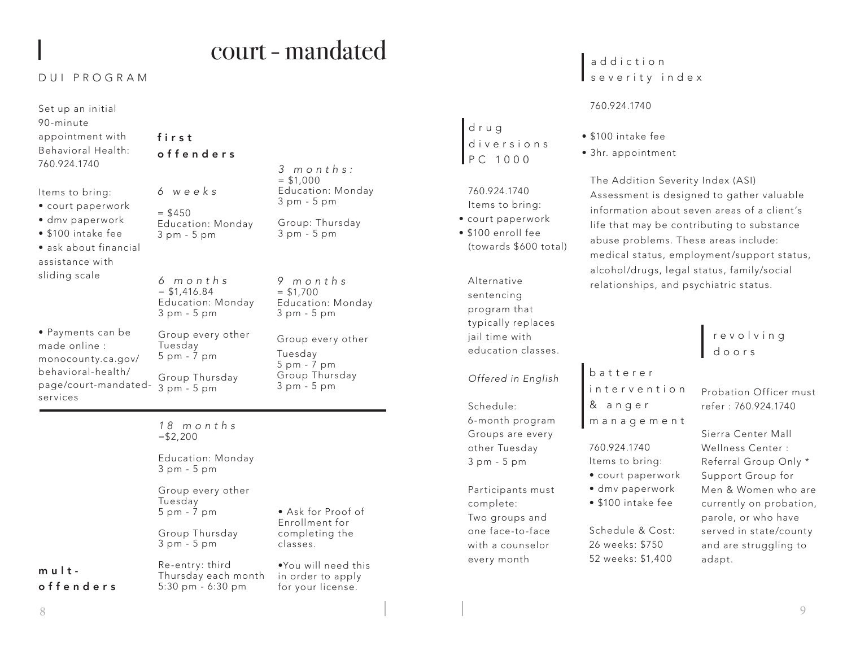# court - mandated

## DUI PROGRAM

| Set up an initial<br>90-minute<br>appointment with<br>Behavioral Health:<br>760.924.1740                                                   | first<br>offenders                                                                                                            | 3 months:                                                                        |  |
|--------------------------------------------------------------------------------------------------------------------------------------------|-------------------------------------------------------------------------------------------------------------------------------|----------------------------------------------------------------------------------|--|
| ltems to bring:<br>• court paperwork<br>· dmv paperwork<br>· \$100 intake fee<br>· ask about financial<br>assistance with<br>sliding scale | 6 weeks<br>$=$ \$450<br>Education: Monday<br>3 pm - 5 pm                                                                      | $= $1,000$<br>Education: Monday<br>3 pm - 5 pm<br>Group: Thursday<br>3 pm - 5 pm |  |
|                                                                                                                                            | 6 months<br>9 months<br>$=$ \$1,416.84<br>$=$ \$1,700<br>Education: Monday<br>Education: Monday<br>3 pm - 5 pm<br>3 pm - 5 pm |                                                                                  |  |
| • Payments can be<br>made online :<br>monocounty.ca.gov/<br>behavioral-health/<br>page/court-mandated-<br>services                         | Group every other<br>Tuesday<br>5 pm - 7 pm<br>Group Thursday<br>3 pm - 5 pm                                                  | Group every other<br>Tuesday<br>5 pm - 7 pm<br>Group Thursday<br>3 pm - 5 pm     |  |
|                                                                                                                                            | 18 months<br>$= $2,200$                                                                                                       |                                                                                  |  |
|                                                                                                                                            | Education: Monday<br>3 pm - 5 pm                                                                                              |                                                                                  |  |
|                                                                                                                                            | Group every other<br>Tuesday<br>5 pm - 7 pm                                                                                   | • Ask for Proof of<br>Enrollment for                                             |  |
|                                                                                                                                            | Group Thursday<br>3 pm - 5 pm                                                                                                 | completing the<br>classes.                                                       |  |
| mult-<br>offenders                                                                                                                         | Re-entry: third<br>Thursday each month<br>5:30 pm - 6:30 pm                                                                   | $\bullet$ You will need this<br>in order to apply<br>for your license.           |  |

## a d d i c t i o n severity index

### 760.924.1740

d r u g

d iversions PC 1000

 760.924.1740 Items to bring: • court paperwork • \$100 enroll fee

Alternative sentencing program that typically replaces jail time with education classes.

(towards \$600 total)

*Offered in English*

6-month program Groups are every other Tuesday 3 pm - 5 pm

Participants must

Schedule:

complete: Two groups and one face-to-face with a counselor every month

• \$100 intake fee

b a t t e r e r

& a n g e r

760.924.1740 Items to bring: • court paperwork • dmv paperwork • \$100 intake fee

i n t e r v e n t i o n

management

Schedule & Cost: 26 weeks: \$750 52 weeks: \$1,400

• 3hr. appointment

The Addition Severity Index (ASI) Assessment is designed to gather valuable information about seven areas of a client's life that may be contributing to substance abuse problems. These areas include: medical status, employment/support status, alcohol/drugs, legal status, family/social relationships, and psychiatric status.

## r e v o l v i n g doors

Probation Officer must refer : 760.924.1740

Sierra Center Mall Wellness Center : Referral Group Only \* Support Group for Men & Women who are currently on probation, parole, or who have served in state/county and are struggling to adapt.

## 8 9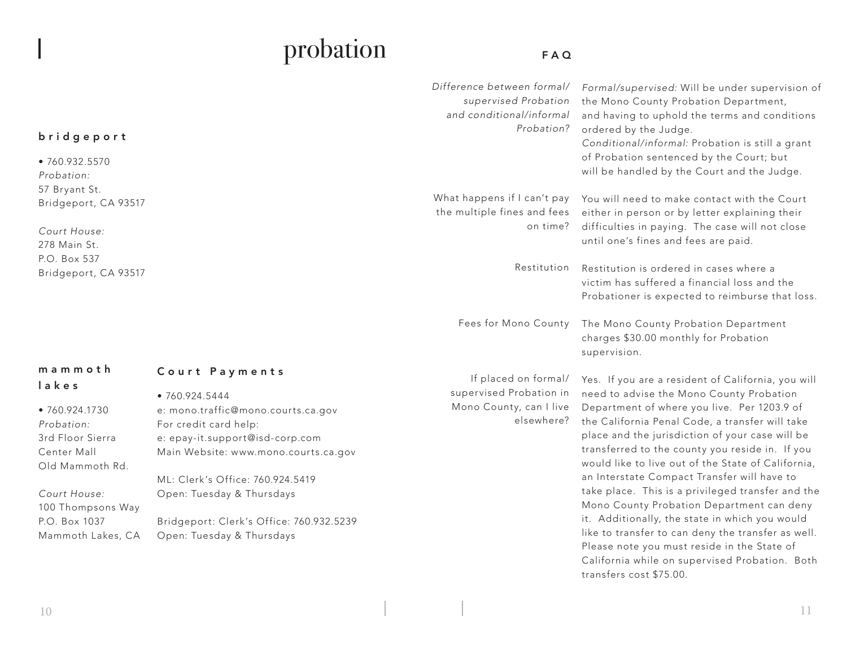# probation

# FAQ

| bridgeport<br>• 760.932.5570<br>Probation:                                                                                                                                        |                                                                                                                                                                                                                                                                                                                     | Difference between formal/<br>supervised Probation<br>and conditional/informal<br>Probation? | Formal/supervised: Will be under supervision of<br>the Mono County Probation Department,<br>and having to uphold the terms and conditions<br>ordered by the Judge.<br>Conditional/informal: Probation is still a grant<br>of Probation sentenced by the Court; but<br>will be handled by the Court and the Judge.                                                                                                                                                                                                                                                                                                                                                    |
|-----------------------------------------------------------------------------------------------------------------------------------------------------------------------------------|---------------------------------------------------------------------------------------------------------------------------------------------------------------------------------------------------------------------------------------------------------------------------------------------------------------------|----------------------------------------------------------------------------------------------|----------------------------------------------------------------------------------------------------------------------------------------------------------------------------------------------------------------------------------------------------------------------------------------------------------------------------------------------------------------------------------------------------------------------------------------------------------------------------------------------------------------------------------------------------------------------------------------------------------------------------------------------------------------------|
| 57 Bryant St.<br>Bridgeport, CA 93517                                                                                                                                             |                                                                                                                                                                                                                                                                                                                     | What happens if I can't pay<br>the multiple fines and fees<br>on time?                       | You will need to make contact with the Court<br>either in person or by letter explaining their                                                                                                                                                                                                                                                                                                                                                                                                                                                                                                                                                                       |
| Court House:<br>278 Main St.<br>P.O. Box 537                                                                                                                                      |                                                                                                                                                                                                                                                                                                                     |                                                                                              | difficulties in paying. The case will not close<br>until one's fines and fees are paid.                                                                                                                                                                                                                                                                                                                                                                                                                                                                                                                                                                              |
| Bridgeport, CA 93517                                                                                                                                                              |                                                                                                                                                                                                                                                                                                                     | Restitution                                                                                  | Restitution is ordered in cases where a<br>victim has suffered a financial loss and the<br>Probationer is expected to reimburse that loss.                                                                                                                                                                                                                                                                                                                                                                                                                                                                                                                           |
|                                                                                                                                                                                   |                                                                                                                                                                                                                                                                                                                     | Fees for Mono County                                                                         | The Mono County Probation Department<br>charges \$30.00 monthly for Probation<br>supervision.                                                                                                                                                                                                                                                                                                                                                                                                                                                                                                                                                                        |
| mammoth<br>lakes<br>• 760.924.1730<br>Probation:<br>3rd Floor Sierra<br>Center Mall<br>Old Mammoth Rd.<br>Court House:<br>100 Thompsons Way<br>P.O. Box 1037<br>Mammoth Lakes, CA | Court Payments<br>•760.924.5444<br>e: mono.traffic@mono.courts.ca.gov<br>For credit card help:<br>e: epay-it.support@isd-corp.com<br>Main Website: www.mono.courts.ca.gov<br>ML: Clerk's Office: 760.924.5419<br>Open: Tuesday & Thursdays<br>Bridgeport: Clerk's Office: 760.932.5239<br>Open: Tuesday & Thursdays | If placed on formal/<br>supervised Probation in<br>Mono County, can I live<br>elsewhere?     | Yes. If you are a resident of California, you will<br>need to advise the Mono County Probation<br>Department of where you live. Per 1203.9 of<br>the California Penal Code, a transfer will take<br>place and the jurisdiction of your case will be<br>transferred to the county you reside in. If you<br>would like to live out of the State of California,<br>an Interstate Compact Transfer will have to<br>take place. This is a privileged transfer and the<br>Mono County Probation Department can deny<br>it. Additionally, the state in which you would<br>like to transfer to can deny the transfer as well.<br>Please note you must reside in the State of |
|                                                                                                                                                                                   |                                                                                                                                                                                                                                                                                                                     |                                                                                              | California while on supervised Probation. Both<br>transfers cost \$75.00.                                                                                                                                                                                                                                                                                                                                                                                                                                                                                                                                                                                            |

 $\overline{\phantom{a}}$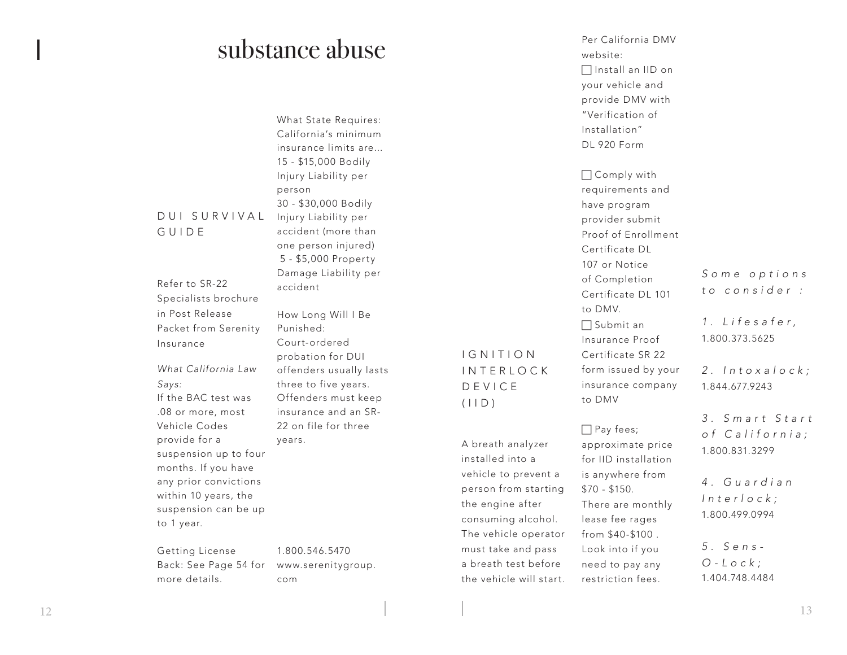# substance abuse

What State Requires: California's minimum insurance limits are... 15 - \$15,000 Bodily Injury Liability per person 30 - \$30,000 Bodily Injury Liability per accident (more than one person injured) 5 - \$5,000 Property Damage Liability per accident

Refer to SR-22 Specialists brochure in Post Release Packet from Serenity Insurance

DUI SURVIVAL

GUIDE

*What California Law Says:* If the BAC test was .08 or more, most Vehicle Codes provide for a suspension up to four months. If you have any prior convictions within 10 years, the suspension can be up to 1 year.

Getting License Back: See Page 54 for more details.

How Long Will I Be Punished: Court-ordered probation for DUI offenders usually lasts three to five years. Offenders must keep insurance and an SR-22 on file for three years.

1.800.546.5470 www.serenitygroup. com

# I G N I T I O N INTERLOCK DEVICE  $(IID)$

A breath analyzer installed into a vehicle to prevent a person from starting the engine after consuming alcohol. The vehicle operator must take and pass a breath test before the vehicle will start.

Per California DMV website:  $\Box$  Install an IID on your vehicle and provide DMV with "Verification of Installation" DL 920 Form

 Comply with requirements and have program provider submit Proof of Enrollment Certificate DL 107 or Notice of Completion Certificate DL 101 to DMV.  $\Box$  Submit an Insurance Proof Certificate SR 22 form issued by your insurance company to DMV

 $\Box$  Pay fees; approximate price for IID installation is anywhere from \$70 - \$150. There are monthly lease fee rages from \$40-\$100 . Look into if you need to pay any restriction fees.

*S o m e o p t i o n s to consider :*

*1 . L i f e s a f e r ,*  1.800.373.5625

*2 . I n t o x a l o c k ;*  1.844.677.9243

*3 . S m a r t S t a r t o f C a l i f o r n i a ;*  1.800.831.3299

*4 . G u a r d i a n I n t e r l o c k ;*  1.80 0.499.0994

*5. Sens-O - L o c k ;*  1.404.748.4484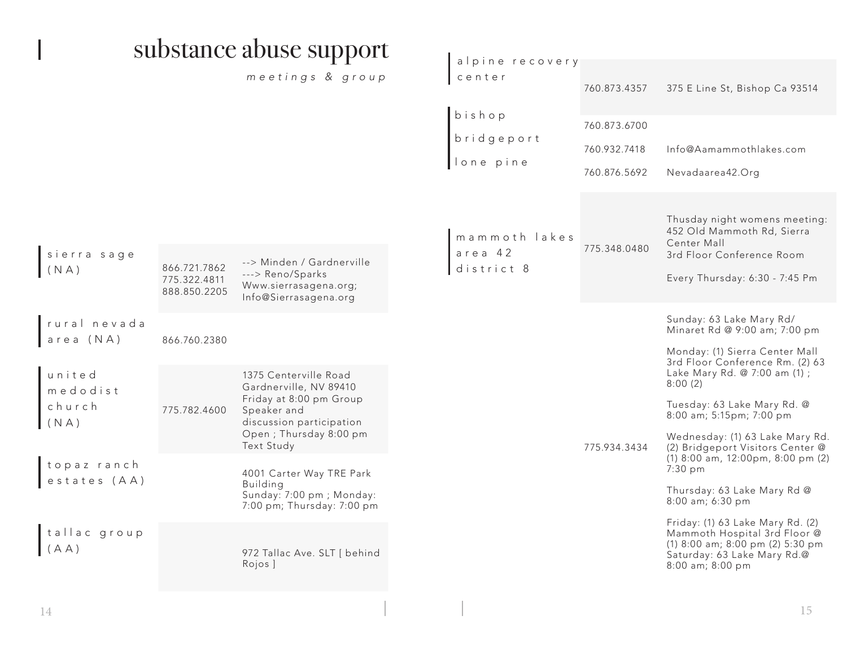|                                      |                                              | substance abuse support                                                                                                                                       |                                                                                                                                      |                                              |                                                                                                                                                                            |
|--------------------------------------|----------------------------------------------|---------------------------------------------------------------------------------------------------------------------------------------------------------------|--------------------------------------------------------------------------------------------------------------------------------------|----------------------------------------------|----------------------------------------------------------------------------------------------------------------------------------------------------------------------------|
|                                      |                                              | meetings & group                                                                                                                                              | alpine recovery<br>center                                                                                                            | 760.873.4357                                 | 375 E Line St, Bishop Ca 93514                                                                                                                                             |
|                                      |                                              |                                                                                                                                                               | bishop<br>$\hbox{\bf \large b\rm \large r\rm \large i\rm \large d\rm \large g\rm \large e\rm \large p\rm \large \it or\rm \large t}$ | 760.873.6700<br>760.932.7418<br>760.876.5692 | Info@Aamammothlakes.com<br>Nevadaarea42.Org                                                                                                                                |
| sierra sage<br>(NA)                  | 866.721.7862<br>775.322.4811<br>888.850.2205 | --> Minden / Gardnerville<br>---> Reno/Sparks<br>Www.sierrasagena.org;<br>Info@Sierrasagena.org                                                               | mammoth lakes<br>area 42<br>district 8                                                                                               | 775.348.0480                                 | Thusday night womens meeting:<br>452 Old Mammoth Rd, Sierra<br>Center Mall<br>3rd Floor Conference Room<br>Every Thursday: 6:30 - 7:45 Pm                                  |
| rural nevada<br>area (NA)            | 866.760.2380                                 |                                                                                                                                                               |                                                                                                                                      |                                              | Sunday: 63 Lake Mary Rd/<br>Minaret Rd @ 9:00 am; 7:00 pm<br>Monday: (1) Sierra Center Mall<br>3rd Floor Conference Rm. (2) 63                                             |
| united<br>medodist<br>church<br>(NA) | 775.782.4600                                 | 1375 Centerville Road<br>Gardnerville, NV 89410<br>Friday at 8:00 pm Group<br>Speaker and<br>discussion participation<br>Open; Thursday 8:00 pm<br>Text Study |                                                                                                                                      | 775.934.3434                                 | Lake Mary Rd. @ 7:00 am (1) ;<br>8:00(2)<br>Tuesday: 63 Lake Mary Rd. @<br>8:00 am; 5:15pm; 7:00 pm<br>Wednesday: (1) 63 Lake Mary Rd.<br>(2) Bridgeport Visitors Center @ |
| topaz ranch<br>estates (AA)          |                                              | 4001 Carter Way TRE Park<br>Building<br>Sunday: 7:00 pm; Monday:<br>7:00 pm; Thursday: 7:00 pm                                                                |                                                                                                                                      |                                              | (1) 8:00 am, 12:00pm, 8:00 pm (2)<br>7:30 pm<br>Thursday: 63 Lake Mary Rd @<br>8:00 am; 6:30 pm                                                                            |
| tallac group<br>$(A \land A)$        |                                              | 972 Tallac Ave. SLT [ behind<br>Rojos 1                                                                                                                       |                                                                                                                                      |                                              | Friday: (1) 63 Lake Mary Rd. (2)<br>Mammoth Hospital 3rd Floor @<br>(1) 8:00 am; 8:00 pm (2) 5:30 pm<br>Saturday: 63 Lake Mary Rd.@<br>8:00 am; 8:00 pm                    |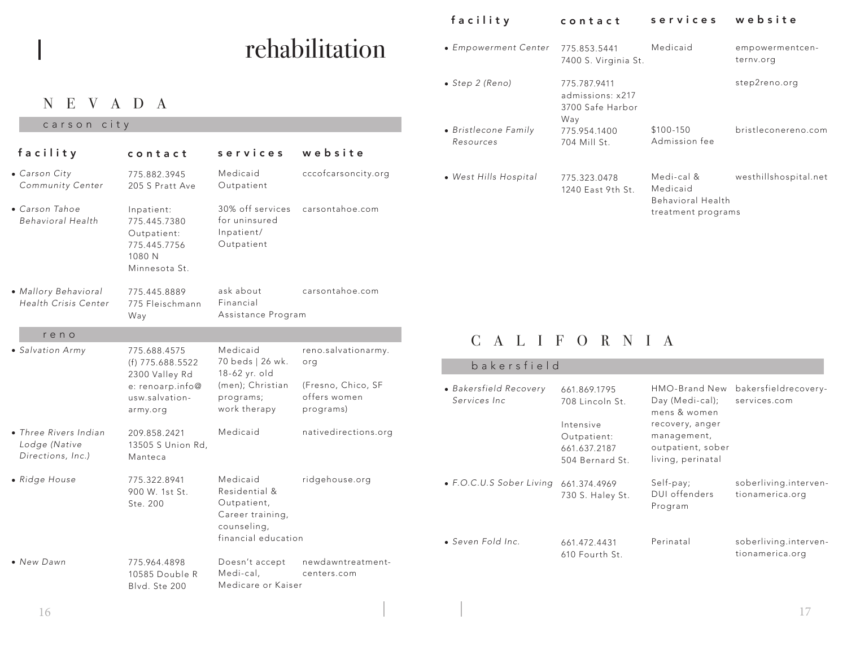# rehabilitation

# NEVADA

## carson city

| facility                                                    | contact                                                                                              | services                                                                                           | website                                                                       |
|-------------------------------------------------------------|------------------------------------------------------------------------------------------------------|----------------------------------------------------------------------------------------------------|-------------------------------------------------------------------------------|
| • Carson City<br>Community Center                           | 775.882.3945<br>205 S Pratt Ave                                                                      | Medicaid<br>Outpatient                                                                             | cccofcarsoncity.org                                                           |
| • Carson Tahoe<br>Behavioral Health                         | Inpatient:<br>775.445.7380<br>Outpatient:<br>775.445.7756<br>1080 N<br>Minnesota St.                 | 30% off services<br>for uninsured<br>Inpatient/<br>Outpatient                                      | carsontahoe.com                                                               |
| · Mallory Behavioral<br>Health Crisis Center                | 775.445.8889<br>775 Fleischmann<br>Way                                                               | ask about<br>Financial<br>Assistance Program                                                       | carsontahoe.com                                                               |
| reno                                                        |                                                                                                      |                                                                                                    |                                                                               |
| • Salvation Army                                            | 775.688.4575<br>(f) 775.688.5522<br>2300 Valley Rd<br>e: renoarp.info@<br>usw.salvation-<br>army.org | Medicaid<br>70 beds   26 wk.<br>18-62 yr. old<br>(men); Christian<br>programs;<br>work therapy     | reno.salvationarmy.<br>org<br>(Fresno, Chico, SF<br>offers women<br>programs) |
| • Three Rivers Indian<br>Lodge (Native<br>Directions, Inc.) | 209.858.2421<br>13505 S Union Rd,<br>Manteca                                                         | Medicaid                                                                                           | nativedirections.org                                                          |
| • Ridge House                                               | 775.322.8941<br>900 W. 1st St.<br>Ste. 200                                                           | Medicaid<br>Residential &<br>Outpatient,<br>Career training,<br>counseling,<br>financial education | ridgehouse.org                                                                |
| • New Dawn                                                  | 775.964.4898<br>10585 Double R<br>Blvd. Ste 200                                                      | Doesn't accept<br>Medi-cal.<br>Medicare or Kaiser                                                  | newdawntreatment-<br>centers.com                                              |

# facility contact services website

| • Empowerment Center              | 775.853.5441<br>7400 S. Virginia St.                        | Medicaid                                                          | empowermentcen-<br>ternv.org |
|-----------------------------------|-------------------------------------------------------------|-------------------------------------------------------------------|------------------------------|
| • Step 2 (Reno)                   | 775.787.9411<br>admissions: x217<br>3700 Safe Harbor<br>Way |                                                                   | step2reno.org                |
| • Bristlecone Family<br>Resources | 775.954.1400<br>704 Mill St.                                | \$100-150<br>Admission fee                                        | bristleconereno.com          |
| • West Hills Hospital             | 775.323.0478<br>1240 East 9th St.                           | Medi-cal &<br>Medicaid<br>Behavioral Health<br>treatment programs | westhillshospital.net        |

# CALIFORNIA

| bakersfield                             |                                                                                                |                                                                                                                              |                                          |
|-----------------------------------------|------------------------------------------------------------------------------------------------|------------------------------------------------------------------------------------------------------------------------------|------------------------------------------|
| • Bakersfield Recovery<br>Services Inc. | 661.869.1795<br>708 Lincoln St.<br>Intensive<br>Outpatient:<br>661.637.2187<br>504 Bernard St. | HMO-Brand New<br>Day (Medi-cal);<br>mens & women<br>recovery, anger<br>management,<br>outpatient, sober<br>living, perinatal | bakersfieldrecovery-<br>services.com     |
| • F.O.C.U.S Sober Living                | 661.374.4969<br>730 S. Haley St.                                                               | Self-pay;<br>DUI offenders<br>Program                                                                                        | soberliving.interven-<br>tionamerica.org |
| • Seven Fold Inc.                       | 661.472.4431<br>610 Fourth St.                                                                 | Perinatal                                                                                                                    | soberliving.interven-<br>tionamerica.org |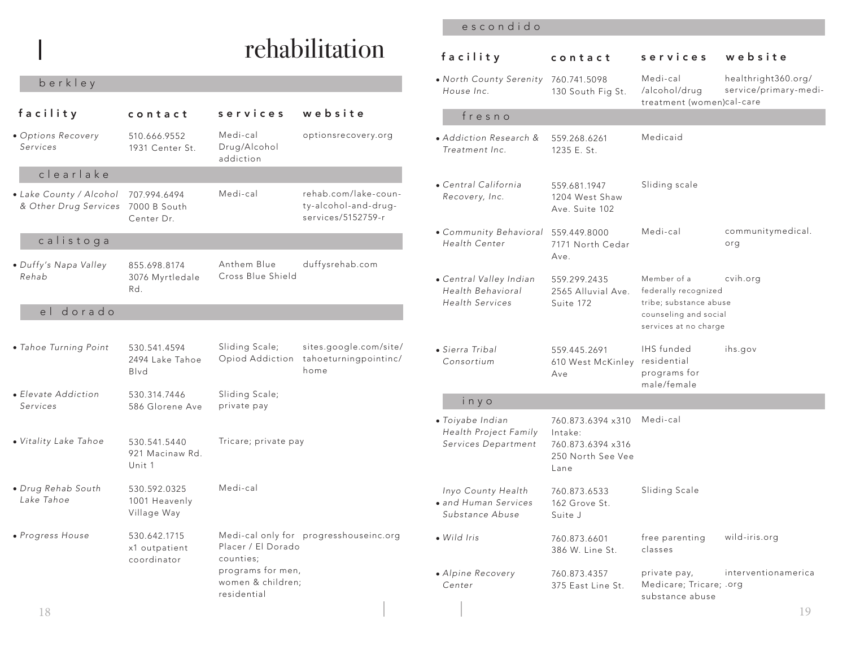# rehabilitation

# berkley

|                                                               |                                              |                                        |                                                                    |                                                                        |                                                   | treatment (women)car-care                                       |                          |
|---------------------------------------------------------------|----------------------------------------------|----------------------------------------|--------------------------------------------------------------------|------------------------------------------------------------------------|---------------------------------------------------|-----------------------------------------------------------------|--------------------------|
| facility                                                      | contact                                      | services                               | website                                                            | fresno                                                                 |                                                   |                                                                 |                          |
| · Options Recovery<br>Services                                | 510.666.9552<br>1931 Center St.              | Medi-cal<br>Drug/Alcohol<br>addiction  | optionsrecovery.org                                                | • Addiction Research &<br>Treatment Inc.                               | 559.268.6261<br>1235 E. St.                       | Medicaid                                                        |                          |
| clearlake                                                     |                                              |                                        |                                                                    |                                                                        |                                                   |                                                                 |                          |
| • Lake County / Alcohol<br>& Other Drug Services 7000 B South | 707.994.6494<br>Center Dr.                   | Medi-cal                               | rehab.com/lake-coun-<br>ty-alcohol-and-drug-<br>services/5152759-r | • Central California<br>Recovery, Inc.                                 | 559.681.1947<br>1204 West Shaw<br>Ave. Suite 102  | Sliding scale                                                   |                          |
| calistoga                                                     |                                              |                                        |                                                                    | • Community Behavioral<br>Health Center                                | 559.449.8000<br>7171 North Cedar<br>Ave.          | Medi-cal                                                        | communitymedical.<br>org |
| • Duffy's Napa Valley                                         | 855.698.8174                                 | Anthem Blue                            | duffysrehab.com                                                    |                                                                        |                                                   |                                                                 |                          |
| Rehab                                                         | 3076 Myrtledale<br>Rd.                       | Cross Blue Shield                      |                                                                    | · Central Valley Indian<br>Health Behavioral<br><b>Health Services</b> | 559.299.2435<br>2565 Alluvial Ave.<br>Suite 172   | Member of a<br>federally recognized<br>tribe; substance abuse   | cvih.org                 |
| el dorado                                                     |                                              |                                        |                                                                    |                                                                        |                                                   | counseling and social<br>services at no charge                  |                          |
| • Tahoe Turning Point                                         | 530.541.4594<br>2494 Lake Tahoe<br>Blvd      | Sliding Scale;<br>Opiod Addiction      | sites.google.com/site/<br>tahoeturningpointinc/<br>home            | • Sierra Tribal<br>Consortium                                          | 559.445.2691<br>610 West McKinley<br>Ave          | <b>IHS</b> funded<br>residential<br>programs for<br>male/female | ihs.gov                  |
| • Elevate Addiction<br>Services                               | 530.314.7446<br>586 Glorene Ave              | Sliding Scale;<br>private pay          |                                                                    | inyo                                                                   |                                                   |                                                                 |                          |
| · Vitality Lake Tahoe                                         | 530.541.5440                                 | Tricare; private pay                   |                                                                    | · Toiyabe Indian<br>Health Project Family<br>Services Department       | 760.873.6394 x310<br>Intake:<br>760.873.6394 x316 | Medi-cal                                                        |                          |
|                                                               | 921 Macinaw Rd.<br>Unit 1                    |                                        |                                                                    |                                                                        | 250 North See Vee<br>Lane                         |                                                                 |                          |
| · Drug Rehab South<br>Lake Tahoe                              | 530.592.0325<br>1001 Heavenly<br>Village Way | Medi-cal                               |                                                                    | Inyo County Health<br>· and Human Services<br>Substance Abuse          | 760.873.6533<br>162 Grove St.<br>Suite J          | Sliding Scale                                                   |                          |
| • Progress House                                              | 530.642.1715<br>x1 outpatient<br>coordinator | Placer / El Dorado<br>counties;        | Medi-cal only for progresshouseinc.org                             | · Wild Iris                                                            | 760.873.6601<br>386 W. Line St.                   | free parenting<br>classes                                       | wild-iris.org            |
|                                                               |                                              | programs for men,<br>women & children; |                                                                    | • Alpine Recovery                                                      | 760.873.4357                                      | private pay,                                                    | interventionamerica      |
|                                                               |                                              | residential                            |                                                                    | Center                                                                 | 375 East Line St.                                 | Medicare; Tricare; .org<br>substance abuse                      |                          |
| 18                                                            |                                              |                                        |                                                                    |                                                                        |                                                   |                                                                 | 19                       |

## escondido

| facility                                                               | contact                                                                        | services                                                                                                        | website                                      |
|------------------------------------------------------------------------|--------------------------------------------------------------------------------|-----------------------------------------------------------------------------------------------------------------|----------------------------------------------|
| • North County Serenity 760.741.5098<br>House Inc.                     | 130 South Fig St.                                                              | Medi-cal<br>/alcohol/drug<br>treatment (women)cal-care                                                          | healthright360.org/<br>service/primary-medi- |
| fresno                                                                 |                                                                                |                                                                                                                 |                                              |
| • Addiction Research &<br>Treatment Inc.                               | 559.268.6261<br>1235 E. St.                                                    | Medicaid                                                                                                        |                                              |
| • Central California<br>Recovery, Inc.                                 | 559.681.1947<br>1204 West Shaw<br>Ave. Suite 102                               | Sliding scale                                                                                                   |                                              |
| • Community Behavioral<br>Health Center                                | 559.449.8000<br>7171 North Cedar<br>Ave.                                       | Medi-cal                                                                                                        | communitymedical.<br>org                     |
| • Central Valley Indian<br>Health Behavioral<br><b>Health Services</b> | 559.299.2435<br>2565 Alluvial Ave.<br>Suite 172                                | Member of a<br>federally recognized<br>tribe; substance abuse<br>counseling and social<br>services at no charge | cvih.org                                     |
| • Sierra Tribal<br>Consortium                                          | 559.445.2691<br>610 West McKinley<br>Ave                                       | IHS funded<br>residential<br>programs for<br>male/female                                                        | ihs.gov                                      |
| inyo                                                                   |                                                                                |                                                                                                                 |                                              |
| · Toiyabe Indian<br>Health Project Family<br>Services Department       | 760.873.6394 x310<br>Intake:<br>760.873.6394 x316<br>250 North See Vee<br>Lane | Medi-cal                                                                                                        |                                              |
| Inyo County Health<br>• and Human Services<br>Substance Abuse          | 760.873.6533<br>162 Grove St.<br>Suite J                                       | Sliding Scale                                                                                                   |                                              |
| · Wild Iris                                                            | 760.873.6601<br>386 W. Line St.                                                | free parenting<br>classes                                                                                       | wild-iris.org                                |
| • Alpine Recovery<br>Center                                            | 760.873.4357<br>375 East Line St.                                              | private pay,<br>Medicare; Tricare; .org<br>substance abuse                                                      | interventionamerica                          |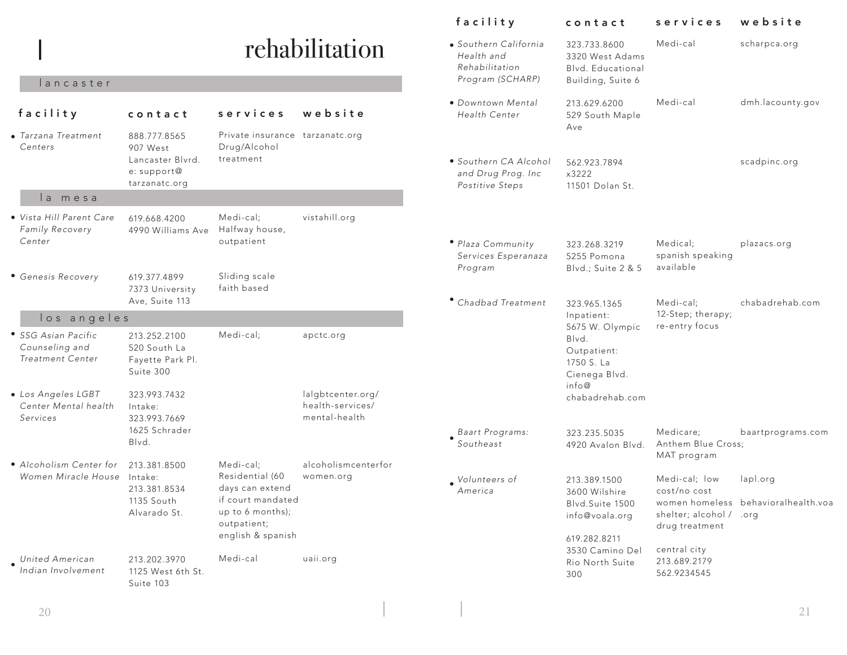|                                                                |                                                               |                                                                         |                                                        | facility                                                       | contact                                                                | services                                                  | website                             |
|----------------------------------------------------------------|---------------------------------------------------------------|-------------------------------------------------------------------------|--------------------------------------------------------|----------------------------------------------------------------|------------------------------------------------------------------------|-----------------------------------------------------------|-------------------------------------|
|                                                                |                                                               |                                                                         | rehabilitation                                         | • Southern California<br>Health and<br>Rehabilitation          | 323.733.8600<br>3320 West Adams<br>Blvd. Educational                   | Medi-cal                                                  | scharpca.org                        |
| lancaster                                                      |                                                               |                                                                         |                                                        | Program (SCHARP)                                               | Building, Suite 6                                                      |                                                           |                                     |
| facility                                                       | contact                                                       | services                                                                | website                                                | • Downtown Mental<br>Health Center                             | 213.629.6200<br>529 South Maple<br>Ave                                 | Medi-cal                                                  | dmh.lacounty.gov                    |
| Grzana Treatment<br>Centers                                    | 888.777.8565<br>907 West                                      | Private insurance tarzanatc.org<br>Drug/Alcohol                         |                                                        |                                                                |                                                                        |                                                           |                                     |
|                                                                | Lancaster Blvrd.<br>e: support@<br>tarzanatc.org              | treatment                                                               |                                                        | · Southern CA Alcohol<br>and Drug Prog. Inc<br>Postitive Steps | 562.923.7894<br>x3222<br>11501 Dolan St.                               |                                                           | scadpinc.org                        |
| la mesa                                                        |                                                               |                                                                         |                                                        |                                                                |                                                                        |                                                           |                                     |
| Vista Hill Parent Care<br>Family Recovery                      | 619.668.4200<br>4990 Williams Ave                             | Medi-cal;<br>Halfway house,                                             | vistahill.org                                          |                                                                |                                                                        |                                                           |                                     |
| Center                                                         |                                                               | outpatient                                                              |                                                        | · Plaza Community<br>Services Esperanaza<br>Program            | 323.268.3219<br>5255 Pomona<br>Blvd.; Suite 2 & 5                      | Medical;<br>spanish speaking<br>available                 | plazacs.org                         |
| <b>Genesis Recovery</b>                                        | 619.377.4899<br>7373 University<br>Ave, Suite 113             | Sliding scale<br>faith based                                            |                                                        | • Chadbad Treatment                                            |                                                                        | Medi-cal;                                                 | chabadrehab.com                     |
| los angeles                                                    |                                                               |                                                                         |                                                        |                                                                | 323.965.1365<br>Inpatient:                                             | 12-Step; therapy;                                         |                                     |
| SSG Asian Pacific<br>Counseling and<br>Treatment Center        | 213.252.2100<br>520 South La<br>Fayette Park Pl.<br>Suite 300 | Medi-cal;                                                               | apctc.org                                              |                                                                | 5675 W. Olympic<br>Blvd.<br>Outpatient:<br>1750 S. La<br>Cienega Blvd. | re-entry focus                                            |                                     |
| <b>Los Angeles LGBT</b><br>Center Mental health<br>Services    | 323.993.7432<br>Intake:<br>323.993.7669                       |                                                                         | lalgbtcenter.org/<br>health-services/<br>mental-health |                                                                | info@<br>chabadrehab.com                                               |                                                           |                                     |
|                                                                | 1625 Schrader<br>Blvd.                                        |                                                                         |                                                        | Baart Programs:<br>Southeast                                   | 323.235.5035<br>4920 Avalon Blvd.                                      | Medicare:<br>Anthem Blue Cross;<br>MAT program            | baartprograms.com                   |
| $\bullet$ Alcoholism Center for<br>Women Miracle House Intake: | 213.381.8500                                                  | Medi-cal;<br>Residential (60                                            | alcoholismcenterfor<br>women.org                       | $\bullet$ Volunteers of                                        | 213.389.1500                                                           | Medi-cal; low                                             | lapl.org                            |
|                                                                | 213.381.8534<br>1135 South<br>Alvarado St.                    | days can extend<br>if court mandated<br>up to 6 months);<br>outpatient; |                                                        | America                                                        | 3600 Wilshire<br>Blvd.Suite 1500<br>info@voala.org                     | cost/no cost<br>shelter; alcohol / .org<br>drug treatment | women homeless behavioralhealth.voa |
| <b>United American</b><br>Indian Involvement                   | 213.202.3970<br>1125 West 6th St.                             | english & spanish<br>Medi-cal                                           | uaii.org                                               |                                                                | 619.282.8211<br>3530 Camino Del<br>Rio North Suite<br>300              | central city<br>213.689.2179<br>562.9234545               |                                     |
|                                                                | Suite 103                                                     |                                                                         |                                                        |                                                                |                                                                        |                                                           |                                     |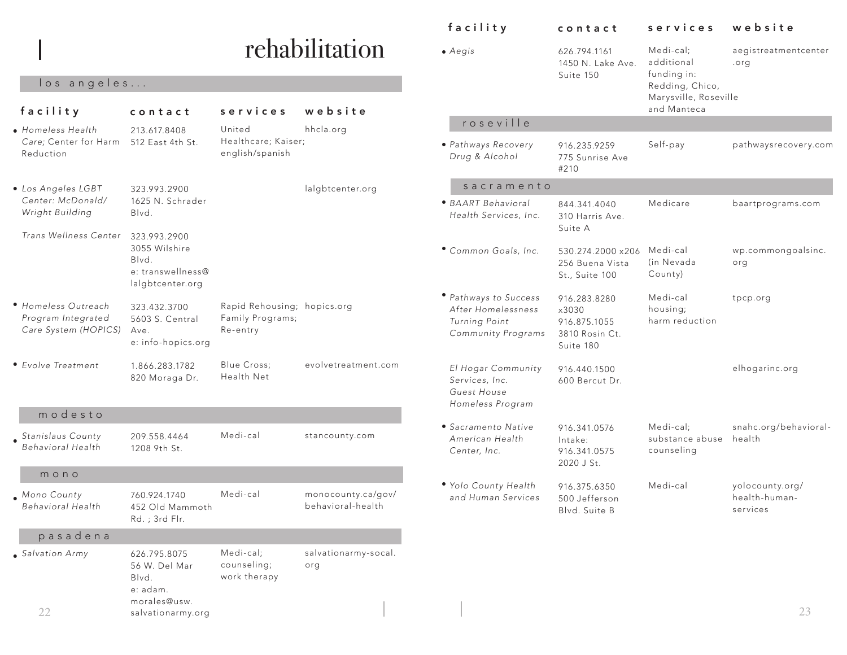|                                                                   |                                                               |                                                             |                                         | facility                                                                | contact                                                         | services                                   | website                                      |
|-------------------------------------------------------------------|---------------------------------------------------------------|-------------------------------------------------------------|-----------------------------------------|-------------------------------------------------------------------------|-----------------------------------------------------------------|--------------------------------------------|----------------------------------------------|
|                                                                   |                                                               |                                                             | rehabilitation                          | $\bullet$ Aegis                                                         | 626.794.1161<br>1450 N. Lake Ave.<br>Suite 150                  | Medi-cal;<br>additional<br>funding in:     | aegistreatmentce<br>.org                     |
| los angeles                                                       |                                                               |                                                             |                                         |                                                                         |                                                                 | Redding, Chico,<br>Marysville, Roseville   |                                              |
| facility                                                          | contact                                                       | services                                                    | website                                 |                                                                         |                                                                 | and Manteca                                |                                              |
| · Homeless Health                                                 | 213.617.8408                                                  | United                                                      | hhcla.org                               | roseville                                                               |                                                                 |                                            |                                              |
| Care; Center for Harm<br>Reduction                                | 512 East 4th St.                                              | Healthcare; Kaiser;<br>english/spanish                      |                                         | • Pathways Recovery<br>Drug & Alcohol                                   | 916.235.9259<br>775 Sunrise Ave<br>#210                         | Self-pay                                   | pathwaysrecovery                             |
| • Los Angeles LGBT                                                | 323.993.2900                                                  |                                                             | lalgbtcenter.org                        | sacramento                                                              |                                                                 |                                            |                                              |
| Center: McDonald/<br>Wright Building                              | 1625 N. Schrader<br>Blvd.                                     |                                                             |                                         | • BAART Behavioral<br>Health Services, Inc.                             | 844.341.4040<br>310 Harris Ave.<br>Suite A                      | Medicare                                   | baartprograms.cc                             |
| Trans Wellness Center                                             | 323.993.2900<br>3055 Wilshire<br>Blvd.<br>e: transwellness@   |                                                             |                                         | · Common Goals, Inc.                                                    | 530.274.2000 x206 Medi-cal<br>256 Buena Vista<br>St., Suite 100 | (in Nevada<br>County)                      | wp.commongoals<br>org                        |
|                                                                   | lalgbtcenter.org                                              |                                                             |                                         | • Pathways to Success                                                   | 916.283.8280                                                    | Medi-cal                                   |                                              |
| • Homeless Outreach<br>Program Integrated<br>Care System (HOPICS) | 323.432.3700<br>5603 S. Central<br>Ave.<br>e: info-hopics.org | Rapid Rehousing; hopics.org<br>Family Programs;<br>Re-entry |                                         | After Homelessness<br>Turning Point<br>Community Programs               | x3030<br>916.875.1055<br>3810 Rosin Ct.<br>Suite 180            | housing;<br>harm reduction                 | tpcp.org                                     |
| • Evolve Treatment                                                | 1.866.283.1782<br>820 Moraga Dr.                              | Blue Cross;<br>Health Net                                   | evolvetreatment.com                     | El Hogar Community<br>Services, Inc.<br>Guest House<br>Homeless Program | 916.440.1500<br>600 Bercut Dr.                                  |                                            | elhogarinc.org                               |
| modesto                                                           |                                                               |                                                             |                                         |                                                                         |                                                                 |                                            |                                              |
| Stanislaus County<br><b>Behavioral Health</b>                     | 209.558.4464<br>1208 9th St.                                  | Medi-cal                                                    | stancounty.com                          | • Sacramento Native<br>American Health<br>Center, Inc.                  | 916.341.0576<br>Intake:<br>916.341.0575<br>2020 J St.           | Medi-cal:<br>substance abuse<br>counseling | snahc.org/behavi<br>health                   |
| mono                                                              |                                                               |                                                             |                                         |                                                                         |                                                                 |                                            |                                              |
| Mono County<br>Behavioral Health                                  | 760.924.1740<br>452 Old Mammoth<br>Rd.; 3rd Flr.              | Medi-cal                                                    | monocounty.ca/gov/<br>behavioral-health | • Yolo County Health<br>and Human Services                              | 916.375.6350<br>500 Jefferson<br>Blvd. Suite B                  | Medi-cal                                   | yolocounty.org/<br>health-human-<br>services |
| pasadena                                                          |                                                               |                                                             |                                         |                                                                         |                                                                 |                                            |                                              |
| Salvation Army                                                    | 626.795.8075<br>56 W. Del Mar<br>Blvd.<br>e: adam.            | Medi-cal;<br>counseling;<br>work therapy                    | salvationarmy-socal.<br>org             |                                                                         |                                                                 |                                            |                                              |
| 22                                                                | morales@usw.<br>salvationarmy.org                             |                                                             |                                         |                                                                         |                                                                 |                                            | 23                                           |

aegistreatmentcenter

pathwaysrecovery.com

baartprograms.com

wp.commongoalsinc.

snahc.org/behavioral-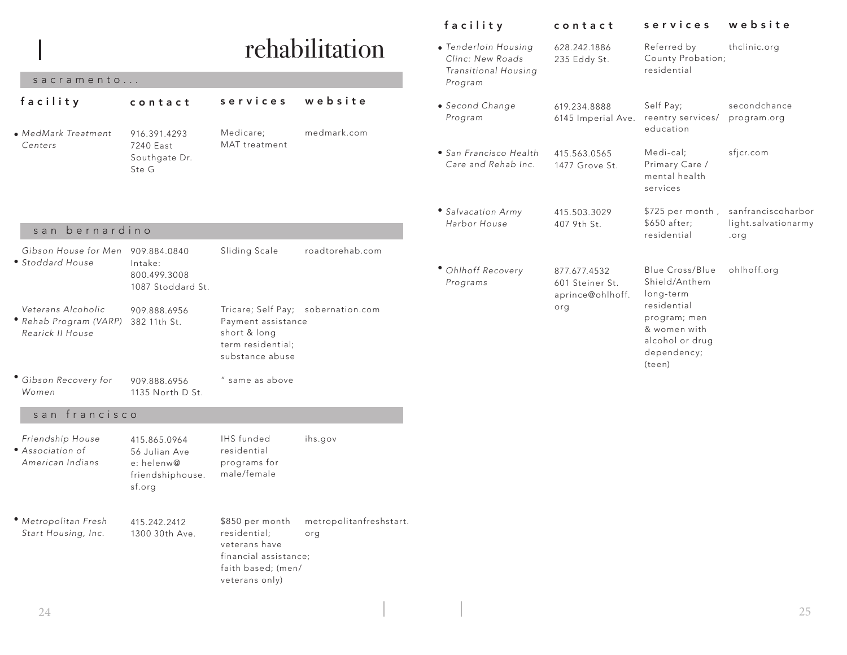|                                                                  |                                                                           |                                                                                                                   |                                    | facility                                                                    | contact                                             | services                                                                                | website                                           |
|------------------------------------------------------------------|---------------------------------------------------------------------------|-------------------------------------------------------------------------------------------------------------------|------------------------------------|-----------------------------------------------------------------------------|-----------------------------------------------------|-----------------------------------------------------------------------------------------|---------------------------------------------------|
| sacramento                                                       |                                                                           |                                                                                                                   | rehabilitation                     | · Tenderloin Housing<br>Clinc: New Roads<br>Transitional Housing<br>Program | 628.242.1886<br>235 Eddy St.                        | Referred by<br>County Probation;<br>residential                                         | thclinic.org                                      |
| facility<br>• MedMark Treatment                                  | contact<br>916.391.4293                                                   | services<br>Medicare;                                                                                             | website<br>medmark.com             | • Second Change<br>Program                                                  | 619.234.8888<br>6145 Imperial Ave.                  | Self Pay;<br>reentry services/<br>education                                             | secondchance<br>program.org                       |
| Centers                                                          | 7240 East<br>Southgate Dr.<br>Ste G                                       | MAT treatment                                                                                                     |                                    | • San Francisco Health<br>Care and Rehab Inc.                               | 415.563.0565<br>1477 Grove St.                      | Medi-cal;<br>Primary Care /<br>mental health<br>services                                | sfjcr.com                                         |
| san bernardino                                                   |                                                                           |                                                                                                                   |                                    | · Salvacation Army<br>Harbor House                                          | 415.503.3029<br>407 9th St.                         | \$725 per month,<br>\$650 after;<br>residential                                         | sanfranciscoharbor<br>light.salvationarmy<br>.org |
| Gibson House for Men 909.884.0840<br>• Stoddard House            | Intake:<br>800.499.3008<br>1087 Stoddard St.                              | Sliding Scale                                                                                                     | roadtorehab.com                    | · Ohlhoff Recovery<br>Programs                                              | 877.677.4532<br>601 Steiner St.<br>aprince@ohlhoff. | Blue Cross/Blue<br>Shield/Anthem<br>long-term                                           | ohlhoff.org                                       |
| Veterans Alcoholic<br>• Rehab Program (VARP)<br>Rearick II House | 909.888.6956<br>382 11th St.                                              | Payment assistance<br>short & long<br>term residential;<br>substance abuse                                        | Tricare; Self Pay; sobernation.com |                                                                             | org                                                 | residential<br>program; men<br>& women with<br>alcohol or drug<br>dependency;<br>(teen) |                                                   |
| · Gibson Recovery for<br>Women                                   | 909.888.6956<br>1135 North D St.                                          | " same as above                                                                                                   |                                    |                                                                             |                                                     |                                                                                         |                                                   |
| san francisco                                                    |                                                                           |                                                                                                                   |                                    |                                                                             |                                                     |                                                                                         |                                                   |
| Friendship House<br>• Association of<br>American Indians         | 415.865.0964<br>56 Julian Ave<br>e: helenw@<br>friendshiphouse.<br>sf.org | <b>IHS</b> funded<br>residential<br>programs for<br>male/female                                                   | ihs.gov                            |                                                                             |                                                     |                                                                                         |                                                   |
| · Metropolitan Fresh<br>Start Housing, Inc.                      | 415.242.2412<br>1300 30th Ave.                                            | \$850 per month<br>residential;<br>veterans have<br>financial assistance;<br>faith based; (men/<br>veterans only) | metropolitanfreshstart.<br>org     |                                                                             |                                                     |                                                                                         |                                                   |
| 24                                                               |                                                                           |                                                                                                                   |                                    |                                                                             |                                                     |                                                                                         | 25                                                |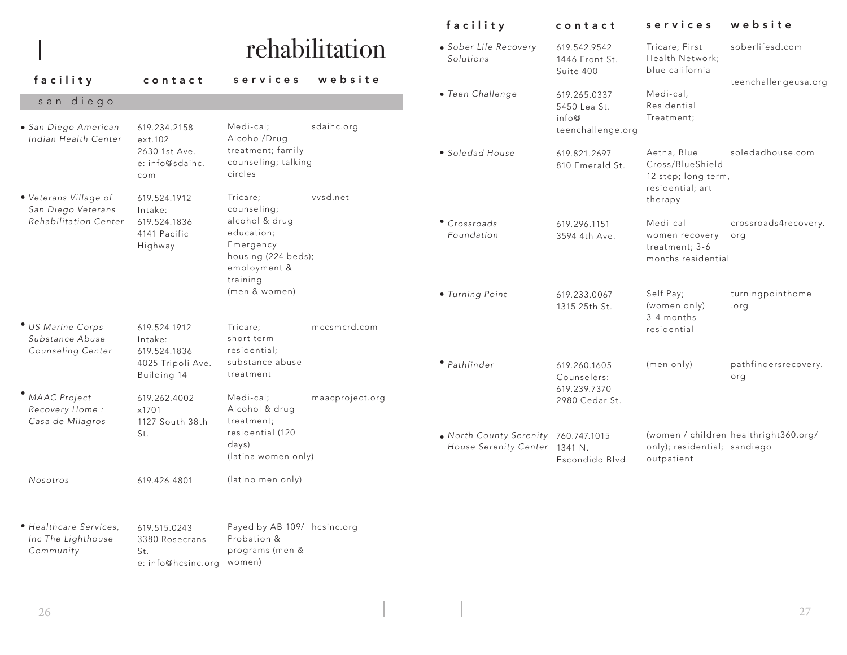|                                                           |                                          |                                                                                              |                 | facility                                                              | contact                                     | services                                                                   | website                               |
|-----------------------------------------------------------|------------------------------------------|----------------------------------------------------------------------------------------------|-----------------|-----------------------------------------------------------------------|---------------------------------------------|----------------------------------------------------------------------------|---------------------------------------|
|                                                           |                                          |                                                                                              | rehabilitation  | · Sober Life Recovery<br>Solutions                                    | 619.542.9542<br>1446 Front St.              | Tricare; First<br>Health Network;<br>blue california                       | soberlifesd.com                       |
| facility                                                  | contact                                  | services                                                                                     | website         |                                                                       | Suite 400                                   |                                                                            | teenchallengeusa.org                  |
| san diego                                                 |                                          |                                                                                              |                 | · Teen Challenge                                                      | 619.265.0337<br>5450 Lea St.                | Medi-cal;<br>Residential                                                   |                                       |
| • San Diego American<br>Indian Health Center              | 619.234.2158<br>ext.102                  | Medi-cal;<br>Alcohol/Drug                                                                    | sdaihc.org      |                                                                       | info@<br>teenchallenge.org                  | Treatment;                                                                 |                                       |
|                                                           | 2630 1st Ave.<br>e: info@sdaihc.<br>com  | treatment; family<br>counseling; talking<br>circles                                          |                 | • Soledad House                                                       | 619.821.2697<br>810 Emerald St.             | Aetna, Blue<br>Cross/BlueShield<br>12 step; long term,<br>residential; art | soledadhouse.com                      |
| · Veterans Village of<br>San Diego Veterans               | 619.524.1912<br>Intake:                  | Tricare:<br>counseling;                                                                      | vysd.net        |                                                                       |                                             | therapy                                                                    |                                       |
| Rehabilitation Center                                     | 619.524.1836<br>4141 Pacific<br>Highway  | alcohol & drug<br>education:<br>Emergency<br>housing (224 beds);<br>employment &<br>training |                 | • Crossroads<br>Foundation                                            | 619.296.1151<br>3594 4th Ave.               | Medi-cal<br>women recovery<br>treatment; 3-6<br>months residential         | crossroads4recovery.<br>org           |
|                                                           |                                          | (men & women)                                                                                |                 | · Turning Point                                                       | 619.233.0067<br>1315 25th St.               | Self Pay;<br>(women only)<br>3-4 months                                    | turningpointhome<br>.org              |
| * US Marine Corps<br>Substance Abuse<br>Counseling Center | 619.524.1912<br>Intake:<br>619.524.1836  | Tricare:<br>short term<br>residential;<br>substance abuse                                    | mccsmcrd.com    |                                                                       |                                             | residential                                                                |                                       |
|                                                           | 4025 Tripoli Ave.<br>Building 14         | treatment                                                                                    |                 | • Pathfinder                                                          | 619.260.1605<br>Counselers:<br>619.239.7370 | (men only)                                                                 | pathfindersrecovery.<br>org           |
| • MAAC Project<br>Recovery Home:<br>Casa de Milagros      | 619.262.4002<br>x1701<br>1127 South 38th | Medi-cal;<br>Alcohol & drug<br>treatment;                                                    | maacproject.org |                                                                       | 2980 Cedar St.                              |                                                                            |                                       |
|                                                           | St.                                      | residential (120<br>days)<br>(latina women only)                                             |                 | . North County Serenity 760.747.1015<br>House Serenity Center 1341 N. | Escondido Blvd.                             | only); residential; sandiego<br>outpatient                                 | (women / children healthright360.org/ |
| Nosotros                                                  | 619.426.4801                             | (latino men only)                                                                            |                 |                                                                       |                                             |                                                                            |                                       |
| · Healthcare Services,<br>Inc The Lighthouse<br>Community | 619.515.0243<br>3380 Rosecrans<br>St.    | Payed by AB 109/ hcsinc.org<br>Probation &<br>programs (men &                                |                 |                                                                       |                                             |                                                                            |                                       |

St. e: info@hcsinc.org women)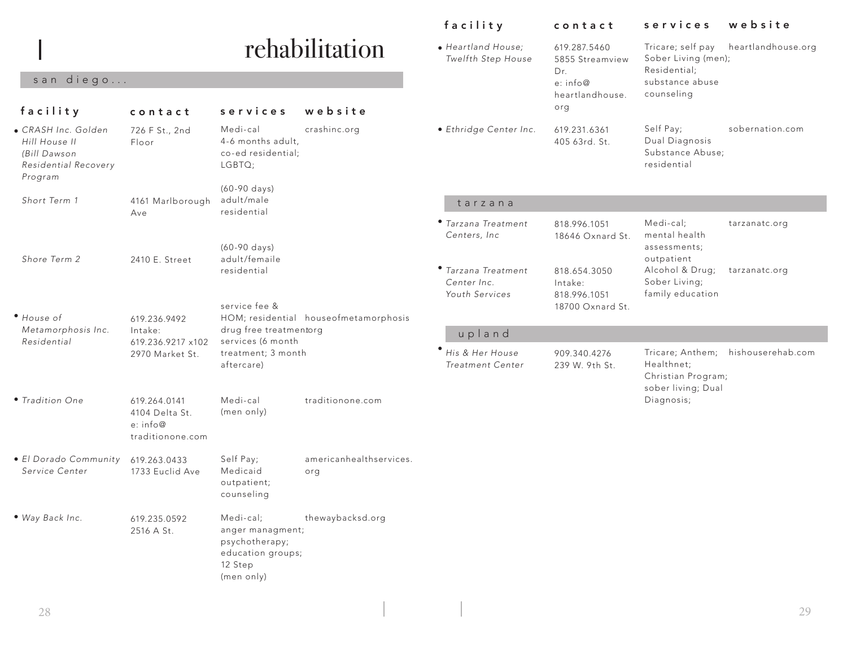# rehabilitation

## san diego...

| facility                                                                                | contact                                                        | services                                                                                      | website                               |                                                      | heartlandhouse.<br>org                  | counseling                                                         |                                    |
|-----------------------------------------------------------------------------------------|----------------------------------------------------------------|-----------------------------------------------------------------------------------------------|---------------------------------------|------------------------------------------------------|-----------------------------------------|--------------------------------------------------------------------|------------------------------------|
| · CRASH Inc. Golden<br>Hill House II<br>(Bill Dawson<br>Residential Recovery<br>Program | 726 F St., 2nd<br>Floor                                        | Medi-cal<br>4-6 months adult,<br>co-ed residential;<br>LGBTQ;                                 | crashinc.org                          | · Ethridge Center Inc.                               | 619.231.6361<br>405 63rd. St.           | Self Pay;<br>Dual Diagnosis<br>Substance Abuse;<br>residential     | sobernation.com                    |
|                                                                                         |                                                                | (60-90 days)                                                                                  |                                       |                                                      |                                         |                                                                    |                                    |
| Short Term 1                                                                            | 4161 Marlborough<br>Ave                                        | adult/male<br>residential                                                                     |                                       | tarzana                                              |                                         |                                                                    |                                    |
|                                                                                         |                                                                | (60-90 days)                                                                                  |                                       | • Tarzana Treatment<br>Centers, Inc.                 | 818.996.1051<br>18646 Oxnard St.        | Medi-cal;<br>mental health<br>assessments;                         | tarzanatc.org                      |
| Shore Term 2                                                                            | 2410 E. Street                                                 | adult/femaile<br>residential                                                                  |                                       | • Tarzana Treatment<br>Center Inc.<br>Youth Services | 818.654.3050<br>Intake:<br>818.996.1051 | outpatient<br>Alcohol & Drug;<br>Sober Living;<br>family education | tarzanatc.org                      |
| • House of                                                                              | 619.236.9492                                                   | service fee &                                                                                 | HOM; residential houseofmetamorphosis |                                                      | 18700 Oxnard St.                        |                                                                    |                                    |
| Metamorphosis Inc.<br>Residential                                                       | Intake:                                                        | drug free treatmentorg                                                                        |                                       | upland                                               |                                         |                                                                    |                                    |
|                                                                                         | 619.236.9217 x102<br>2970 Market St.                           | services (6 month<br>treatment; 3 month<br>aftercare)                                         |                                       | His & Her House<br><b>Treatment Center</b>           | 909.340.4276<br>239 W. 9th St.          | Healthnet;<br>Christian Program;<br>sober living; Dual             | Tricare; Anthem; hishouserehab.com |
| • Tradition One                                                                         | 619.264.0141<br>4104 Delta St.<br>e: info@<br>traditionone.com | Medi-cal<br>(men only)                                                                        | traditionone.com                      |                                                      |                                         | Diagnosis;                                                         |                                    |
| · El Dorado Community<br>Service Center                                                 | 619.263.0433<br>1733 Euclid Ave                                | Self Pay;<br>Medicaid<br>outpatient;<br>counseling                                            | americanhealthservices.<br>org        |                                                      |                                         |                                                                    |                                    |
| · Way Back Inc.                                                                         | 619.235.0592<br>2516 A St.                                     | Medi-cal;<br>anger managment;<br>psychotherapy;<br>education groups;<br>12 Step<br>(men only) | thewaybacksd.org                      |                                                      |                                         |                                                                    |                                    |

*Heartland House;* • *Twelfth Step House*

facility contact services website

Tricare; self pay heartlandhouse.org

Sober Living (men); Residential; substance abuse

619.287.5460 5855 Streamview

Dr. e: info@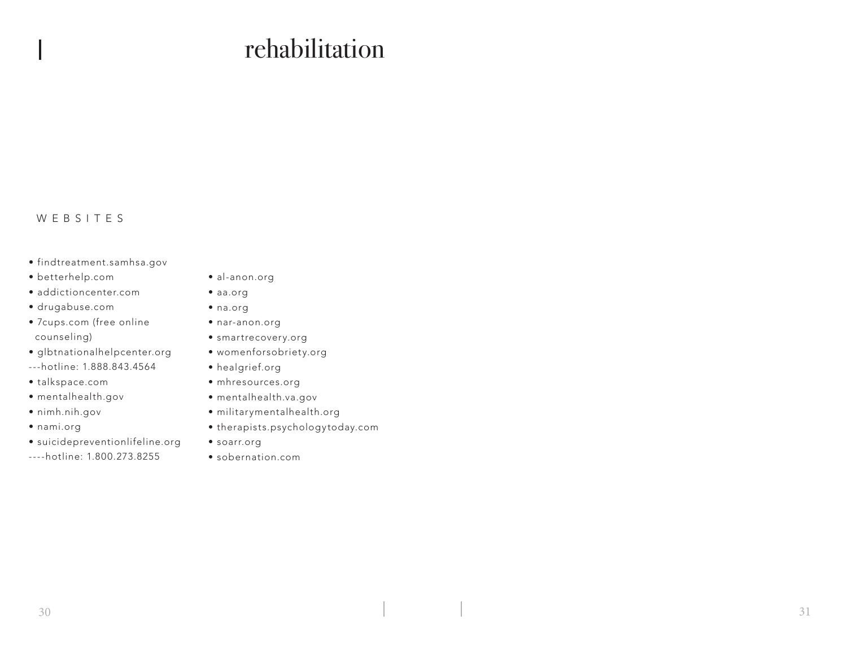# rehabilitation

## WEBSITES

- findtreatment.samhsa.gov
- betterhelp.com
- addictioncenter.com
- drugabuse.com
- 7cups.com (free online counseling)
- glbtnationalhelpcenter.org
- ---hotline: 1.888.843.4564
- talkspace.com
- mentalhealth.gov
- nimh.nih.gov
- nami.org
- suicidepreventionlifeline.org
- ----hotline: 1.800.273.8255
- al-anon.org
- aa.org
- na.org
- nar-anon.org
- smartrecovery.org
- womenforsobriety.org
- healgrief.org
- mhresources.org
- mentalhealth.va.gov
- militarymentalhealth.org
- therapists.psychologytoday.com
- soarr.org
- sobernation.com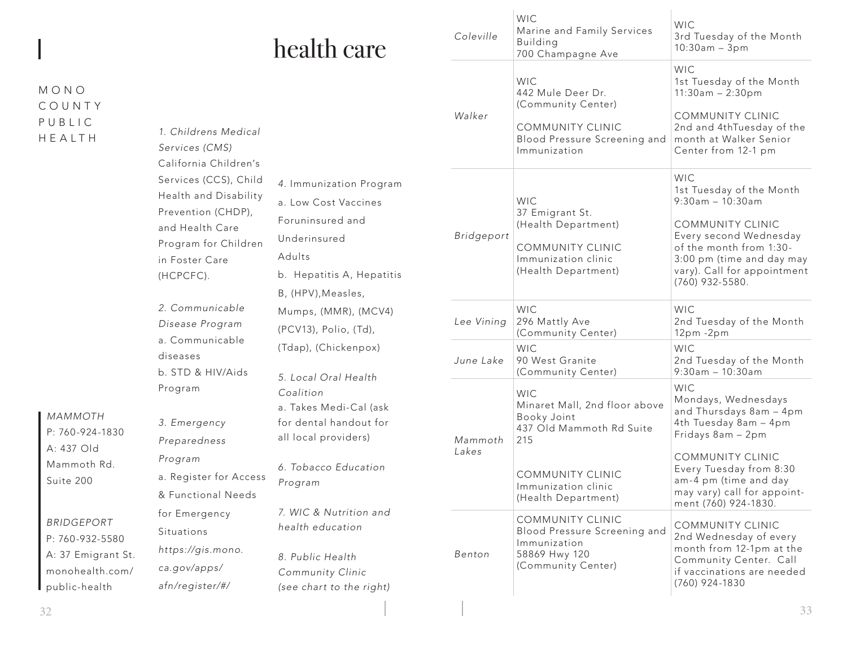| health care |  |
|-------------|--|
|             |  |

# M O N O C O U N T Y P U B L I C HEALTH

|  | 1. Childrens Medical<br>Services (CMS)<br>California Children's<br>Services (CCS), Child<br>4. Immunization Program<br>Health and Disability<br>a. Low Cost Vaccines<br>Prevention (CHDP),<br>Foruninsured and<br>and Health Care<br>Underinsured<br>Program for Children<br>Adults<br>in Foster Care<br>b. Hepatitis A, Hepatitis<br>(HCPCFC).<br>B, (HPV), Measles,<br>2. Communicable<br>Mumps, (MMR), (MCV4)<br>Disease Program<br>(PCV13), Polio, (Td),<br>a. Communicable<br>(Tdap), (Chickenpox)<br>diseases<br>b. STD & HIV/Aids |                                                                                                                          | Walker           | <b>WIC</b><br>442 Mule Deer Dr.<br>(Community Center)<br>COMMUNITY CLINIC<br>Blood Pressure Screening and<br>Immunization                                       | 1st Tuesday of the Month<br>$11:30am - 2:30pm$<br><b>COMMUNITY CLINIC</b><br>2nd and 4thTuesday of the<br>month at Walker Senior<br>Center from 12-1 pm                                                                                          |
|--|------------------------------------------------------------------------------------------------------------------------------------------------------------------------------------------------------------------------------------------------------------------------------------------------------------------------------------------------------------------------------------------------------------------------------------------------------------------------------------------------------------------------------------------|--------------------------------------------------------------------------------------------------------------------------|------------------|-----------------------------------------------------------------------------------------------------------------------------------------------------------------|--------------------------------------------------------------------------------------------------------------------------------------------------------------------------------------------------------------------------------------------------|
|  |                                                                                                                                                                                                                                                                                                                                                                                                                                                                                                                                          |                                                                                                                          | Bridgeport       | <b>WIC</b><br>37 Emigrant St.<br>(Health Department)<br><b>COMMUNITY CLINIC</b><br>Immunization clinic<br>(Health Department)                                   | WIC.<br>1st Tuesday of the Month<br>$9:30am - 10:30am$<br><b>COMMUNITY CLINIC</b><br>Every second Wednesday<br>of the month from 1:30-<br>3:00 pm (time and day may<br>vary). Call for appointment<br>(760) 932-5580.                            |
|  |                                                                                                                                                                                                                                                                                                                                                                                                                                                                                                                                          |                                                                                                                          | Lee Vining       | <b>WIC</b><br>296 Mattly Ave<br>(Community Center)                                                                                                              | WIC.<br>2nd Tuesday of the Month<br>$12pm - 2pm$                                                                                                                                                                                                 |
|  |                                                                                                                                                                                                                                                                                                                                                                                                                                                                                                                                          | 5. Local Oral Health                                                                                                     | June Lake        | <b>WIC</b><br>90 West Granite<br>(Community Center)                                                                                                             | <b>WIC</b><br>2nd Tuesday of the Month<br>$9:30am - 10:30am$                                                                                                                                                                                     |
|  | Program<br>3. Emergency<br>Preparedness<br>Program<br>a. Register for Access<br>& Functional Needs                                                                                                                                                                                                                                                                                                                                                                                                                                       | Coalition<br>a. Takes Medi-Cal (ask<br>for dental handout for<br>all local providers)<br>6. Tobacco Education<br>Program | Mammoth<br>Lakes | <b>WIC</b><br>Minaret Mall, 2nd floor above<br>Booky Joint<br>437 Old Mammoth Rd Suite<br>215<br>COMMUNITY CLINIC<br>Immunization clinic<br>(Health Department) | <b>WIC</b><br>Mondays, Wednesdays<br>and Thursdays 8am - 4pm<br>4th Tuesday 8am - 4pm<br>Fridays 8am - 2pm<br><b>COMMUNITY CLINIC</b><br>Every Tuesday from 8:30<br>am-4 pm (time and day<br>may vary) call for appoint-<br>ment (760) 924-1830. |
|  | for Emergency<br>Situations<br>https://gis.mono.<br>ca.gov/apps/<br>afn/register/#/                                                                                                                                                                                                                                                                                                                                                                                                                                                      | 7. WIC & Nutrition and<br>health education<br>8. Public Health<br>Community Clinic<br>(see chart to the right)           | Benton           | COMMUNITY CLINIC<br>Blood Pressure Screening and<br>Immunization<br>58869 Hwy 120<br>(Community Center)                                                         | <b>COMMUNITY CLINIC</b><br>2nd Wednesday of every<br>month from 12-1pm at the<br>Community Center. Call<br>if vaccinations are needed<br>(760) 924-1830                                                                                          |
|  |                                                                                                                                                                                                                                                                                                                                                                                                                                                                                                                                          |                                                                                                                          |                  |                                                                                                                                                                 |                                                                                                                                                                                                                                                  |

*Coleville*

WIC

Building

Marine and Family Services

WIC

WIC

3rd Tuesday of the Month

10:30am – 3pm

700 Champagne Ave

*MAMMOTH* P: 760-924-1830 A: 437 Old Mammoth Rd. Suite 200

*BRIDGEPORT* P: 760-932-5580 A: 37 Emigrant St. monohealth.com/ public-health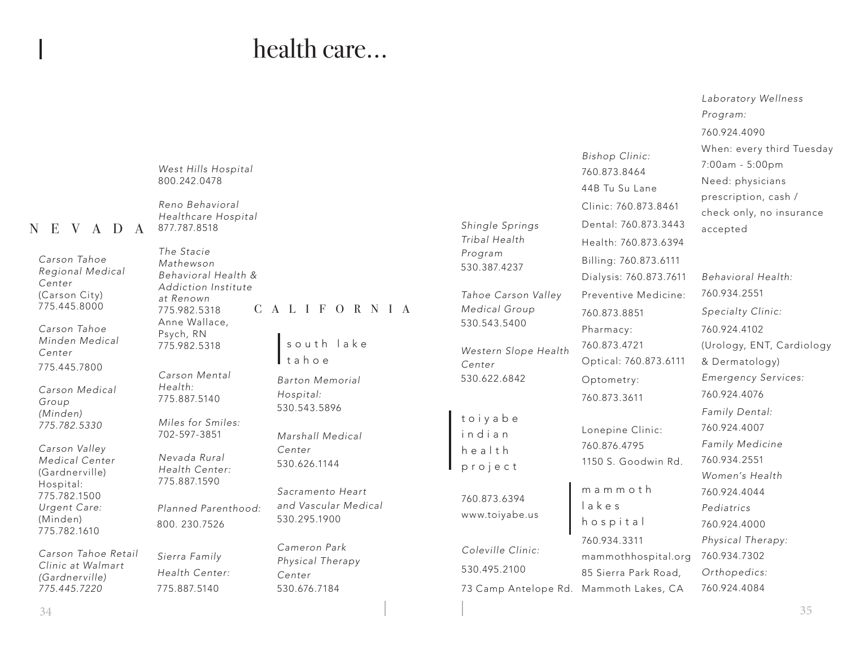# health care...

|                                                                |                                                                       |                                                          |                                                |                                                                         | 760.924.4090                                                                             |
|----------------------------------------------------------------|-----------------------------------------------------------------------|----------------------------------------------------------|------------------------------------------------|-------------------------------------------------------------------------|------------------------------------------------------------------------------------------|
|                                                                | West Hills Hospital<br>800.242.0478                                   |                                                          |                                                | Bishop Clinic:<br>760.873.8464<br>44B Tu Su Lane                        | When: every third Tuesday<br>7:00am - 5:00pm<br>Need: physicians<br>prescription, cash / |
| E V<br>D<br>$\mathbf{A}$<br>A                                  | Reno Behavioral<br>Healthcare Hospital<br>877.787.8518                |                                                          | Shingle Springs<br>Tribal Health               | Clinic: 760.873.8461<br>Dental: 760.873.3443<br>Health: 760.873.6394    | check only, no insurance<br>accepted                                                     |
| Carson Tahoe<br>Regional Medical<br>Center<br>(Carson City)    | The Stacie<br>Mathewson<br>Behavioral Health &<br>Addiction Institute |                                                          | Program<br>530.387.4237<br>Tahoe Carson Valley | Billing: 760.873.6111<br>Dialysis: 760.873.7611<br>Preventive Medicine: | Behavioral Health:<br>760.934.2551                                                       |
| 775.445.8000<br>Carson Tahoe                                   | at Renown<br>775.982.5318<br>Anne Wallace,<br>Psych, RN               | CALIFORNIA                                               | Medical Group<br>530.543.5400                  | 760.873.8851<br>Pharmacy:                                               | Specialty Clinic:<br>760.924.4102                                                        |
| Minden Medical<br>Center<br>775.445.7800                       | 775.982.5318                                                          | south lake<br>tahoe                                      | Western Slope Health<br>Center                 | 760.873.4721<br>Optical: 760.873.6111                                   | (Urology, ENT, Cardiology<br>& Dermatology)                                              |
| Carson Medical<br>Group<br>(Minden)                            | Carson Mental<br>Health:<br>775.887.5140                              | <b>Barton Memorial</b><br>Hospital:<br>530.543.5896      | 530.622.6842                                   | Optometry:<br>760.873.3611                                              | <b>Emergency Services:</b><br>760.924.4076<br>Family Dental:                             |
| 775.782.5330                                                   | Miles for Smiles:<br>702-597-3851                                     | Marshall Medical                                         | toiyabe<br>indian                              | Lonepine Clinic:                                                        | 760.924.4007<br>Family Medicine                                                          |
| Carson Valley<br>Medical Center<br>(Gardnerville)<br>Hospital: | Nevada Rural<br>Health Center:<br>775.887.1590                        | Center<br>530.626.1144                                   | health<br>project                              | 760.876.4795<br>1150 S. Goodwin Rd.                                     | 760.934.2551<br>Women's Health                                                           |
| 775.782.1500<br>Urgent Care:<br>(Minden)<br>775.782.1610       | Planned Parenthood:<br>800.230.7526                                   | Sacramento Heart<br>and Vascular Medical<br>530.295.1900 | 760.873.6394<br>www.toiyabe.us                 | mammoth<br>lakes<br>hospital                                            | 760.924.4044<br>Pediatrics<br>760.924.4000                                               |
| Carson Tahoe Retail<br>Clinic at Walmart                       | Sierra Family<br>Health Center:                                       | Cameron Park<br>Physical Therapy<br>Center               | Coleville Clinic:<br>530.495.2100              | 760.934.3311<br>mammothhospital.org<br>85 Sierra Park Road,             | Physical Therapy:<br>760.934.7302<br>Orthopedics:                                        |
| (Gardnerville)<br>775.445.7220                                 | 775.887.5140                                                          | 530.676.7184                                             | 73 Camp Antelope Rd. Mammoth Lakes, CA         |                                                                         | 760.924.4084                                                                             |

 $N$  E

 $\frac{34}{35}$ 

*Laboratory Wellness* 

*Program:*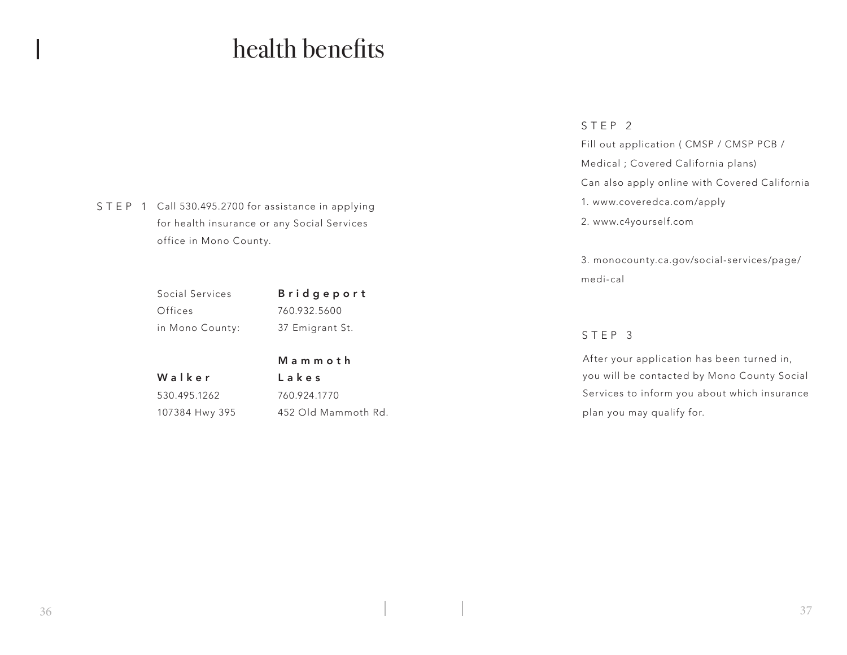# health benefits

STEP 1 Call 530.495.2700 for assistance in applying for health insurance or any Social Services office in Mono County.

| Social Services | <b>Bridgeport</b> |
|-----------------|-------------------|
| Offices         | 760.932.5600      |
| in Mono County: | 37 Emigrant St.   |

# M a m m o t h Lakes

530.495.1262 107384 Hwy 395

Walker

760.924.1770 452 Old Mammoth Rd.

### STEP 2

Fill out application ( CMSP / CMSP PCB / Medical ; Covered California plans) Can also apply online with Covered California 1. www.coveredca.com/apply 2. www.c4yourself.com

3. monocounty.ca.gov/social-services/page/ medi-cal

## STEP 3

After your application has been turned in, you will be contacted by Mono County Social Services to inform you about which insurance plan you may qualify for.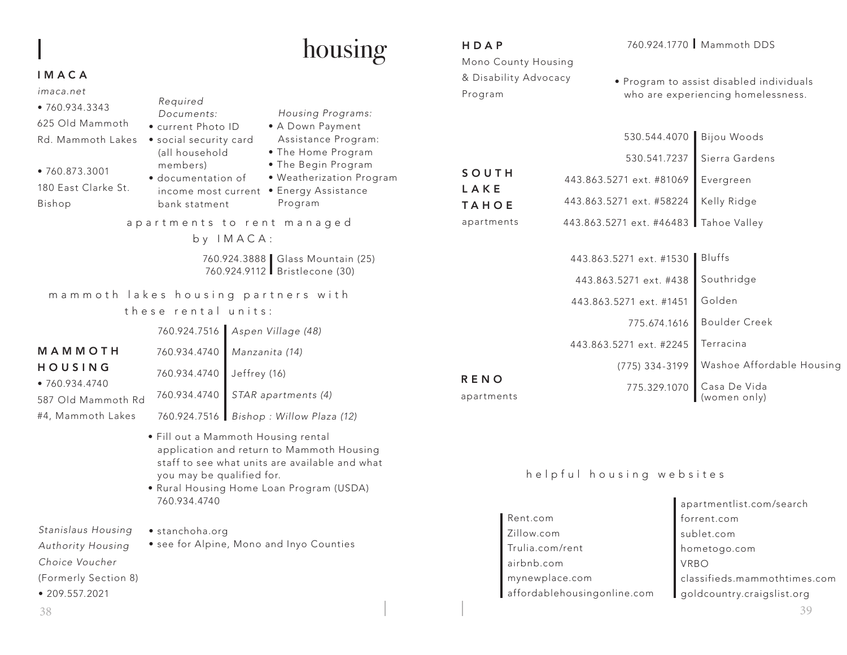# housing

## IMACA

| imaca.net<br>•760.934.3343<br>625 Old Mammoth<br>Rd. Mammoth Lakes<br>•760.873.3001<br>180 East Clarke St.<br>Bishop | Required<br>Documents:<br>• current Photo ID<br>· social security card<br>(all household<br>members)<br>· documentation of<br>income most current<br>bank statment |                | Housing Programs:<br>• A Down Payment<br>Assistance Program:<br>• The Home Program<br>• The Begin Program<br>. Weatherization Program<br>• Energy Assistance<br>Program |
|----------------------------------------------------------------------------------------------------------------------|--------------------------------------------------------------------------------------------------------------------------------------------------------------------|----------------|-------------------------------------------------------------------------------------------------------------------------------------------------------------------------|
|                                                                                                                      |                                                                                                                                                                    | by IMACA:      | apartments to rent managed                                                                                                                                              |
|                                                                                                                      |                                                                                                                                                                    |                | 760.924.3888 Glass Mountain (25)<br>760.924.9112 Bristlecone (30)                                                                                                       |
| mammoth lakes housing partners with                                                                                  | these rental units:                                                                                                                                                |                |                                                                                                                                                                         |
|                                                                                                                      | 760.924.7516                                                                                                                                                       |                | Aspen Village (48)                                                                                                                                                      |
| MAMMOTH                                                                                                              | 760.934.4740                                                                                                                                                       | Manzanita (14) |                                                                                                                                                                         |
| HOUSING<br>•760.934.4740                                                                                             | 760.934.4740                                                                                                                                                       | Jeffrey (16)   |                                                                                                                                                                         |
| 587 Old Mammoth Rd                                                                                                   | 760.934.4740                                                                                                                                                       |                | STAR apartments (4)                                                                                                                                                     |
| #4, Mammoth Lakes                                                                                                    | 760.924.7516                                                                                                                                                       |                | Bishop: Willow Plaza (12)                                                                                                                                               |
|                                                                                                                      | • Fill out a Mammoth Housing rental                                                                                                                                |                | application and return to Mammoth Housing                                                                                                                               |

- ousing staff to see what units are available and what you may be qualified for.
- Rural Housing Home Loan Program (USDA) 760.934.4740

*Stanislaus Housing Authority Housing Choice Voucher* (Formerly Section 8) • 209.557.2021 • stanchoha.org • see for Alpine, Mono and Inyo Counties

### S O U T H L A K E TAHOE apartments Bijou Woods Sierra Gardens Evergreen Kelly Ridge 443.863.5271 ext. #46483 Tahoe Valley 530.544.4070 530.541.7237 443.863.5271 ext. #81069 443.863.5271 ext. #58224 HDAP Mono County Housing & Disability Advocacy Program 760.924.1770 Mammoth DDS • Program to assist disabled individuals who are experiencing homelessness.

| 443.863.5271 ext. #1530 | <b>Bluffs</b>                |
|-------------------------|------------------------------|
| 443.863.5271 ext. #438  | Southridge                   |
| 443.863.5271 ext. #1451 | Golden                       |
| 775.674.1616            | Boulder Creek                |
| 443.863.5271 ext. #2245 | Terracina                    |
| (775) 334-3199          | Washoe Affordable Housing    |
| 775.329.1070            | Casa De Vida<br>(women only) |

## helpful housing websites

Rent.com Zillow.com Trulia.com/rent airbnb.com mynewplace.com affordablehousingonline.com

RENO apartments

> apartmentlist.com/search forrent.com sublet.com hometogo.com VRBO classifieds.mammothtimes.com goldcountry.craigslist.org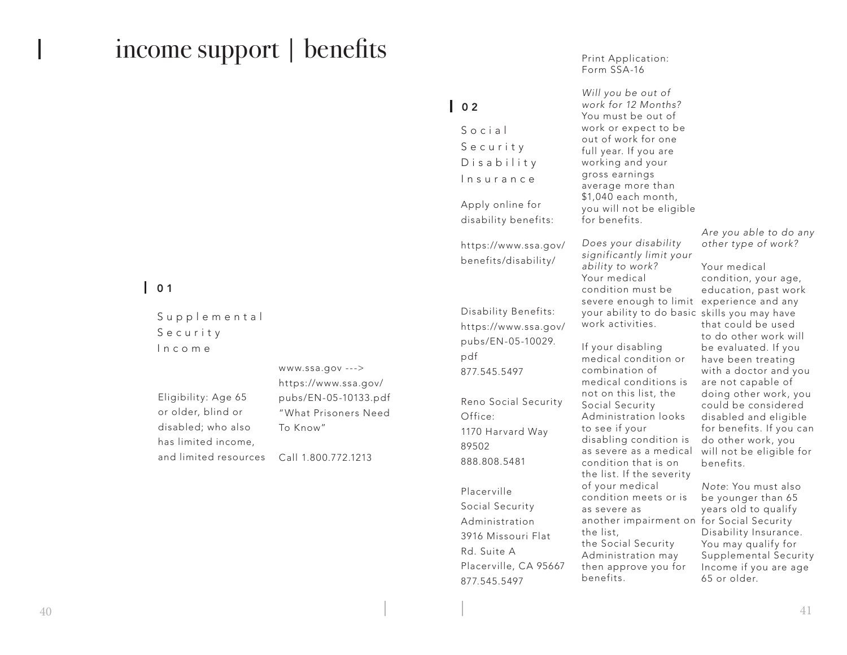# income support | benefits

# $101$

Supplemental S e c u r i t y Income

Eligibility: Age 65 or older, blind or disabled; who also has limited income, and limited resources

www.ssa.gov ---> https://www.ssa.gov/ pubs/EN-05-10133.pdf "What Prisoners Need To Know" Call 1.800.772.1213

 $\begin{array}{c} \bullet \\ \bullet \end{array}$ 

S o c i a l S e c u r i t y D i s a b i l i t y Insurance Apply online for

disability benefits:

https://www.ssa.gov/ benefits/disability/

Disability Benefits: https://www.ssa.gov/ pubs/EN-05-10029. pdf 877.545.5497 Reno Social Security Office: 1170 Harvard Way 89502 888.808.5481

Placerville Social Security Administration 3916 Missouri Flat Rd. Suite A Placerville, CA 95667 877.545.5497

Print Application: Form SSA-16

*Will you be out of work for 12 Months?* You must be out of work or expect to be out of work for one full year. If you are working and your gross earnings average more than \$1,040 each month, you will not be eligible for benefits.

*Does your disability significantly limit your ability to work?* Your medical condition must be severe enough to limit experience and any your ability to do basic skills you may have work activities.

If your disabling medical condition or combination of medical conditions is not on this list, the Social Security Administration looks to see if your disabling condition is as severe as a medical condition that is on the list. If the severity of your medical condition meets or is as severe as another impairment on for Social Security the list, the Social Security Administration may then approve you for benefits.

*Are you able to do any other type of work?*

Your medical condition, your age, education, past work that could be used to do other work will be evaluated. If you have been treating with a doctor and you are not capable of doing other work, you could be considered disabled and eligible for benefits. If you can do other work, you will not be eligible for benefits.

*Note*: You must also be younger than 65 years old to qualify Disability Insurance. You may qualify for Supplemental Security Income if you are age 65 or older.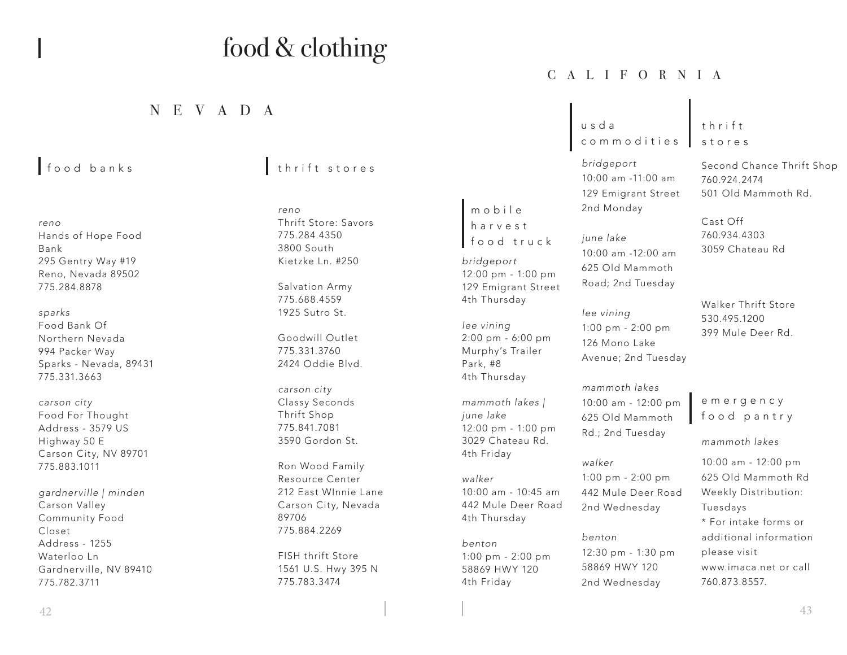# food & clothing

# NEVADA

- *reno* Hands of Hope Food Bank 295 Gentry Way #19 Reno, Nevada 89502 775.284.8878
- *sparks* Food Bank Of Northern Nevada 994 Packer Way Sparks - Nevada, 89431 775.331.3663
- *carson city* Food For Thought Address - 3579 US Highway 50 E Carson City, NV 89701 775.883.1011
- *gardnerville | minden* Carson Valley Community Food Closet Address - 1255 Waterloo Ln Gardnerville, NV 89410 775.782.3711

# food banks thrift stores

*reno* Thrift Store: Savors 775.284.4350 3800 South Kietzke Ln. #250

Salvation Army 775.688.4559 1925 Sutro St.

Goodwill Outlet 775.331.3760 2424 Oddie Blvd.

*carson city* Classy Seconds Thrift Shop 775.841.7081 3590 Gordon St.

Ron Wood Family Resource Center 212 East WInnie Lane Carson City, Nevada 89706 775.884.2269

FISH thrift Store 1561 U.S. Hwy 395 N 775.783.3474

CALIFORNIA

u s d a commodities

m o b i l e harvest food truck

*bridgeport*

*lee vining*

Park, #8 4th Thursday

*june lake*

4th Friday

4th Thursday

*walker*

*benton*

12:00 pm - 1:00 pm 129 Emigrant Street 4th Thursday

2:00 pm - 6:00 pm Murphy's Trailer

*mammoth lakes |*

12:00 pm - 1:00 pm 3029 Chateau Rd.

10:00 am - 10:45 am 442 Mule Deer Road

1:00 pm - 2:00 pm 58869 HWY 120 4th Friday

*bridgeport* 10:00 am -11:00 am 129 Emigrant Street 2nd Monday

*june lake* 10:00 am -12:00 am 625 Old Mammoth Road; 2nd Tuesday

*lee vining* 1:00 pm - 2:00 pm 126 Mono Lake Avenue; 2nd Tuesday

*mammoth lakes* 10:00 am - 12:00 pm 625 Old Mammoth Rd.; 2nd Tuesday

*walker* 1:00 pm - 2:00 pm 442 Mule Deer Road 2nd Wednesday

*benton* 12:30 pm - 1:30 pm 58869 HWY 120 2nd Wednesday

## t h r i f t stores

Second Chance Thrift Shop 760.924.2474 501 Old Mammoth Rd.

Cast Off 760.934.4303 3059 Chateau Rd

Walker Thrift Store 530.495.1200 399 Mule Deer Rd.

e m e r g e n c y food pantry

*mammoth lakes*

10:00 am - 12:00 pm 625 Old Mammoth Rd Weekly Distribution: Tuesdays \* For intake forms or additional information please visit www.imaca.net or call 760.873.8557.

 $\frac{1}{43}$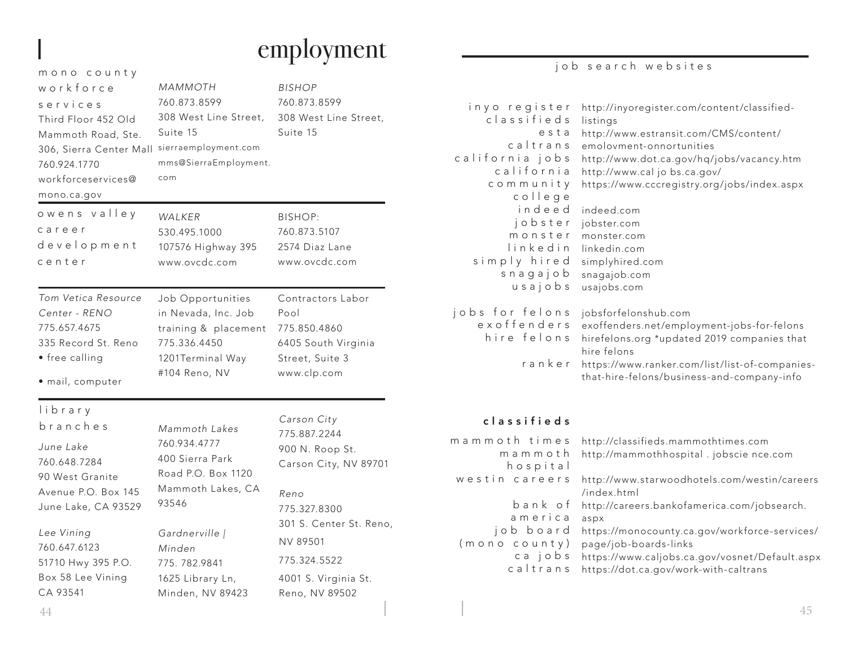# employment

### m o n o c o u n t y w o r k f o r c e services Third Floor 452 Old Mammoth Road, Ste. 306, Sierra Center Mall sierraemployment.com 760.924.1770 workforceservices@ mono.ca.gov *MAMMOTH* 760.873.8599 308 West Line Street, Suite 15 mms@SierraEmployment. com Contractors Labor Pool 775.850.4860 training & placement 6405 South Virginia Street, Suite 3 www.clp.com *Tom Vetica Resource Center - RENO* 775.657.4675 335 Record St. Reno • free calling • mail, computer *WALKER* 530.495.1000 107576 Highway 395 www.ovcdc.com Job Opportunities in Nevada, Inc. Job 775.336.4450 1201Terminal Way #104 Reno, NV owens valley c a r e e r development center *BISHOP* 760.873.8599 308 West Line Street, Suite 15 BISHOP: 760.873.5107 2574 Diaz Lane www.ovcdc.com *Mammoth Lakes* 760.934.4777 400 Sierra Park Road P.O. Box 1120 Mammoth Lakes, CA 93546 *Gardnerville | June Lake* 760.648.7284 90 West Granite Avenue P.O. Box 145 June Lake, CA 93529 *Lee Vining* library branches *Carson City* 775.887.2244 900 N. Roop St. *Reno* 775.327.8300

760.647.6123 51710 Hwy 395 P.O. Box 58 Lee Vining CA 93541

*Minden* 775. 782.9841 1625 Library Ln, Minden, NV 89423 Carson City, NV 89701

# 301 S. Center St. Reno, NV 89501 775.324.5522 4001 S. Virginia St.

Reno, NV 89502

## job search websites

| http://inyoregister.com/content/classified-<br>listings<br>http://www.estransit.com/CMS/content/<br>emolovment-onnortunities<br>http://www.dot.ca.gov/hq/jobs/vacancy.htm<br>http://www.cal jo bs.ca.gov/<br>https://www.cccregistry.org/jobs/index.aspx<br>indeed.com<br>jobster.com<br>monster.com<br>linkedin.com<br>simplyhired.com<br>snagajob.com<br>usajobs.com |
|------------------------------------------------------------------------------------------------------------------------------------------------------------------------------------------------------------------------------------------------------------------------------------------------------------------------------------------------------------------------|
| jobsforfelonshub.com<br>exoffenders.net/employment-jobs-for-felons                                                                                                                                                                                                                                                                                                     |
| hirefelons.org *updated 2019 companies that<br>hire felons                                                                                                                                                                                                                                                                                                             |
| https://www.ranker.com/list/list-of-companies-<br>that-hire-felons/business-and-company-info                                                                                                                                                                                                                                                                           |
|                                                                                                                                                                                                                                                                                                                                                                        |
| http://classifieds.mammothtimes.com<br>http://mammothhospital.jobscience.com                                                                                                                                                                                                                                                                                           |
| http://www.starwoodhotels.com/westin/careers<br>/index.html                                                                                                                                                                                                                                                                                                            |
| http://careers.bankofamerica.com/jobsearch.<br>aspx                                                                                                                                                                                                                                                                                                                    |
| https://monocounty.ca.gov/workforce-services/<br>page/job-boards-links                                                                                                                                                                                                                                                                                                 |
|                                                                                                                                                                                                                                                                                                                                                                        |

ca jobs https://www.caljobs.ca.gov/vosnet/Default.aspx caltrans https://dot.ca.gov/work-with-caltrans

 $\frac{44}{5}$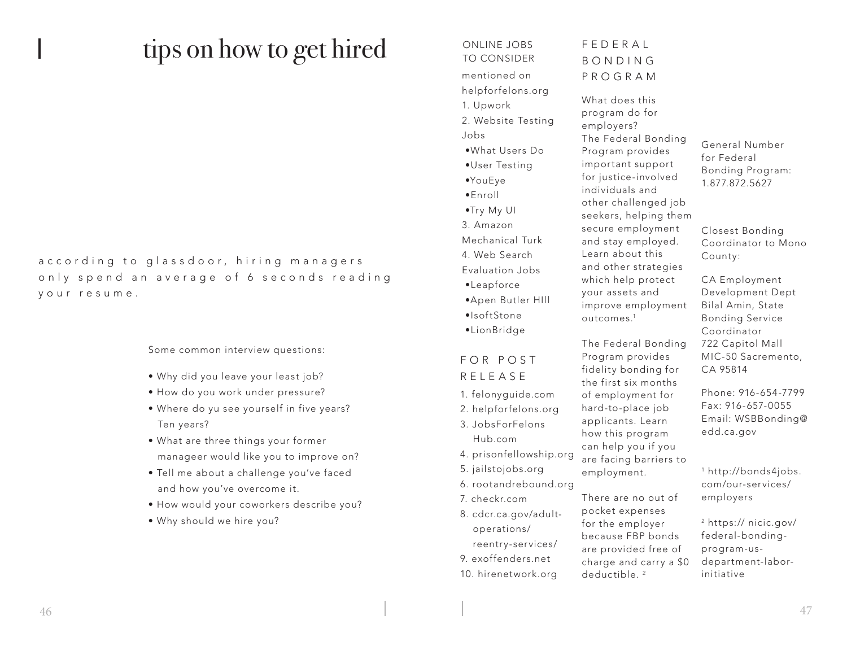# tips on how to get hired ONLINE JOBS

a c c o r d in q to glass door, hiring managers only spend an average of 6 seconds reading y our resume.

### Some common interview questions:

- Why did you leave your least job?
- How do you work under pressure?
- Where do yu see yourself in five years? Ten years?
- What are three things your former manageer would like you to improve on?
- Tell me about a challenge you've faced and how you've overcome it.
- How would your coworkers describe you?
- Why should we hire you?

# TO CONSIDER mentioned on helpforfelons.org 1. Upwork 2. Website Testing Jobs •What Users Do •User Testing •YouEye •Enroll •Try My UI 3. Amazon Mechanical Turk 4. Web Search Evaluation Jobs •Leapforce •Apen Butler HIll •IsoftStone •LionBridge

## F O R P O S T RELEASE

- 1. felonyguide.com
- 2. helpforfelons.org 3. JobsForFelons Hub.com
- 4. prisonfellowship.org
- 5. jailstojobs.org
- 6. rootandrebound.org
- 7. checkr.com
- 8. cdcr.ca.gov/adult operations/ reentry-services/ 9. exoffenders.net
- 10. hirenetwork.org

# FEDERAL B O N D I N G PROGRAM

What does this program do for employers? The Federal Bonding Program provides important support for justice-involved individuals and other challenged job seekers, helping them secure employment and stay employed. Learn about this and other strategies which help protect your assets and improve employment outcomes.1

The Federal Bonding Program provides fidelity bonding for the first six months of employment for hard-to-place job applicants. Learn how this program can help you if you are facing barriers to employment.

There are no out of pocket expenses for the employer because FBP bonds are provided free of charge and carry a \$0 deductible.<sup>2</sup>

### General Number for Federal Bonding Program: 1.877.872.5627

Closest Bonding Coordinator to Mono County:

CA Employment Development Dept Bilal Amin, State Bonding Service Coordinator 722 Capitol Mall MIC-50 Sacremento, CA 95814

Phone: 916-654-7799 Fax: 916-657-0055 Email: WSBBonding@ edd.ca.gov

1 http://bonds4jobs. com/our-services/ employers

2 https:// nicic.gov/ federal-bondingprogram-usdepartment-laborinitiative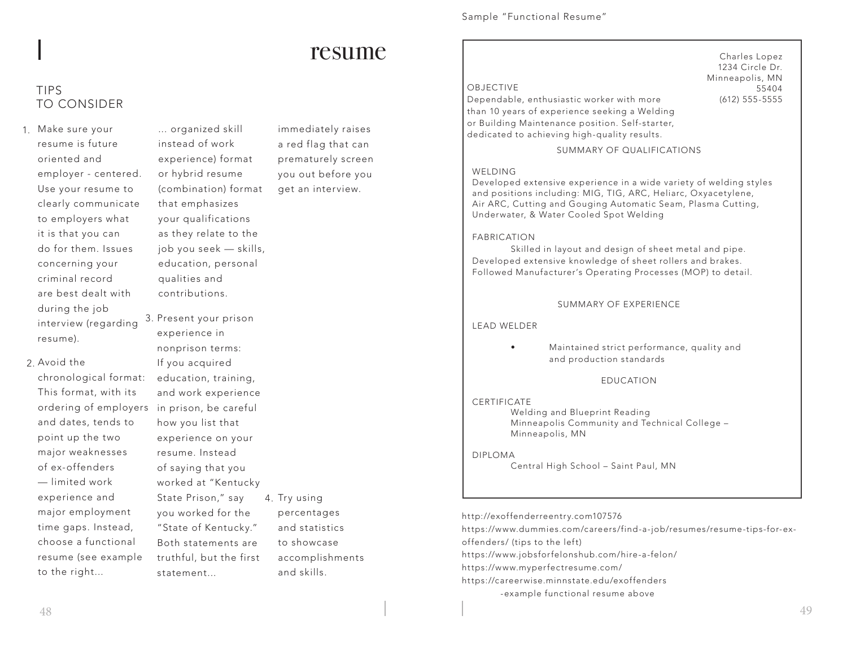# resume

## TIPS TO CONSIDER

1. Make sure your resume is future oriented and employer - centered. Use your resume to clearly communicate to employers what it is that you can do for them. Issues concerning your criminal record are best dealt with during the job interview (regarding resume).

> and dates, tends to point up the two major weaknesses of ex-offenders — limited work experience and major employment time gaps. Instead, choose a functional

2. Avoid the

... organized skill instead of work experience) format or hybrid resume (combination) format that emphasizes your qualifications as they relate to the job you seek — skills, education, personal qualities and contributions.

chronological format: This format, with its ordering of employers in prison, be careful resume (see example 3. Present your prison experience in nonprison terms: If you acquired education, training, and work experience how you list that experience on your resume. Instead of saying that you worked at "Kentucky State Prison," say you worked for the "State of Kentucky." Both statements are truthful, but the first statement...

immediately raises a red flag that can prematurely screen you out before you get an interview.

4. Try using

percentages and statistics to showcase accomplishments

and skills.

### Sample "Functional Resume"

Dependable, enthusiastic worker with more than 10 years of experience seeking a Welding or Building Maintenance position. Self-starter, dedicated to achieving high-quality results.

Charles Lopez 1234 Circle Dr. Minneapolis, MN 55404 (612) 555-5555

SUMMARY OF QUALIFICATIONS

### WELDING

Developed extensive experience in a wide variety of welding styles and positions including: MIG, TIG, ARC, Heliarc, Oxyacetylene, Air ARC, Cutting and Gouging Automatic Seam, Plasma Cutting, Underwater, & Water Cooled Spot Welding

### FABRICATION

Skilled in layout and design of sheet metal and pipe. Developed extensive knowledge of sheet rollers and brakes. Followed Manufacturer's Operating Processes (MOP) to detail.

### SUMMARY OF EXPERIENCE

LEAD WELDER

• Maintained strict performance, quality and and production standards

EDUCATION

### **CERTIFICATE** Welding and Blueprint Reading Minneapolis Community and Technical College – Minneapolis, MN

DIPLOMA

Central High School – Saint Paul, MN

http://exoffenderreentry.com107576 https://www.dummies.com/careers/find-a-job/resumes/resume-tips-for-exoffenders/ (tips to the left) https://www.jobsforfelonshub.com/hire-a-felon/ https://www.myperfectresume.com/ https://careerwise.minnstate.edu/exoffenders -example functional resume above

to the right...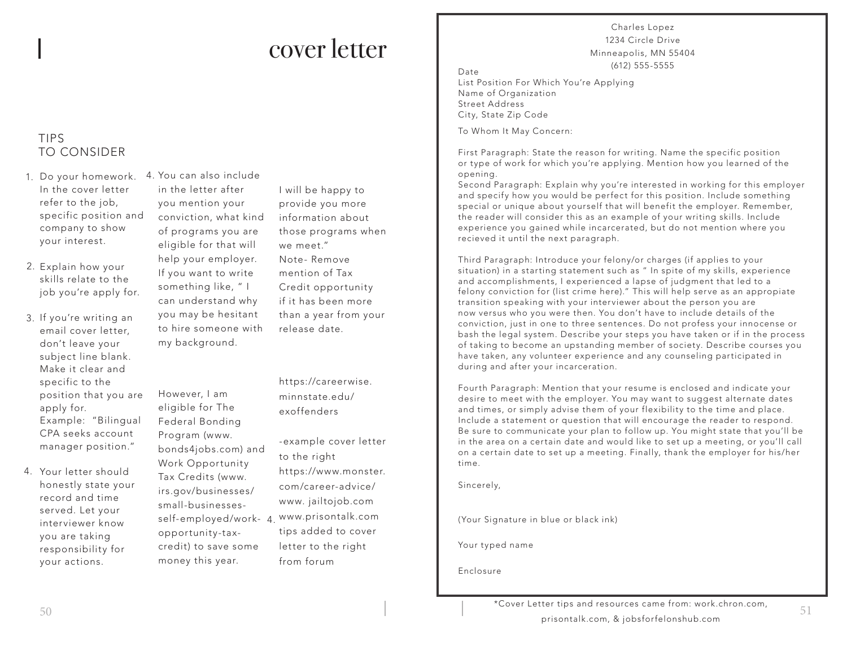# cover letter

## TIPS TO CONSIDER

- 1. Do your homework. You can also include 4. In the cover letter refer to the job, specific position and company to show your interest.
- 2. Explain how your skills relate to the job you're apply for.
- 3. If you're writing an email cover letter, don't leave your subject line blank. Make it clear and specific to the position that you are apply for. Example: "Bilingual CPA seeks account manager position."
- 4. Your letter should honestly state your record and time served. Let your interviewer know you are taking responsibility for your actions.

in the letter after you mention your conviction, what kind of programs you are eligible for that will help your employer. If you want to write something like, " I can understand why you may be hesitant to hire someone with my background.

However, I am eligible for The Federal Bonding Program (www. bonds4jobs.com) and Work Opportunity Tax Credits (www. irs.gov/businesses/ small-businessesopportunity-taxcredit) to save some money this year.

I will be happy to provide you more information about those programs when we meet." Note- Remove mention of Tax Credit opportunity if it has been more than a year from your release date.

https://careerwise. minnstate.edu/ exoffenders

self-employed/work- 4. <sup>www.</sup>prisontalk.com -example cover letter to the right https://www.monster. com/career-advice/ www. jailtojob.com tips added to cover letter to the right from forum

Charles Lopez 1234 Circle Drive Minneapolis, MN 55404 (612) 555-5555 Date

List Position For Which You're Applying Name of Organization Street Address City, State Zip Code

To Whom It May Concern:

First Paragraph: State the reason for writing. Name the specific position or type of work for which you're applying. Mention how you learned of the opening.

Second Paragraph: Explain why you're interested in working for this employer and specify how you would be perfect for this position. Include something special or unique about yourself that will benefit the employer. Remember, the reader will consider this as an example of your writing skills. Include experience you gained while incarcerated, but do not mention where you recieved it until the next paragraph.

Third Paragraph: Introduce your felony/or charges (if applies to your situation) in a starting statement such as " In spite of my skills, experience and accomplishments, I experienced a lapse of judgment that led to a felony conviction for (list crime here)." This will help serve as an appropiate transition speaking with your interviewer about the person you are now versus who you were then. You don't have to include details of the conviction, just in one to three sentences. Do not profess your innocense or bash the legal system. Describe your steps you have taken or if in the process of taking to become an upstanding member of society. Describe courses you have taken, any volunteer experience and any counseling participated in during and after your incarceration.

Fourth Paragraph: Mention that your resume is enclosed and indicate your desire to meet with the employer. You may want to suggest alternate dates and times, or simply advise them of your flexibility to the time and place. Include a statement or question that will encourage the reader to respond. Be sure to communicate your plan to follow up. You might state that you'll be in the area on a certain date and would like to set up a meeting, or you'll call on a certain date to set up a meeting. Finally, thank the employer for his/her time.

Sincerely,

(Your Signature in blue or black ink)

Your typed name

Enclosure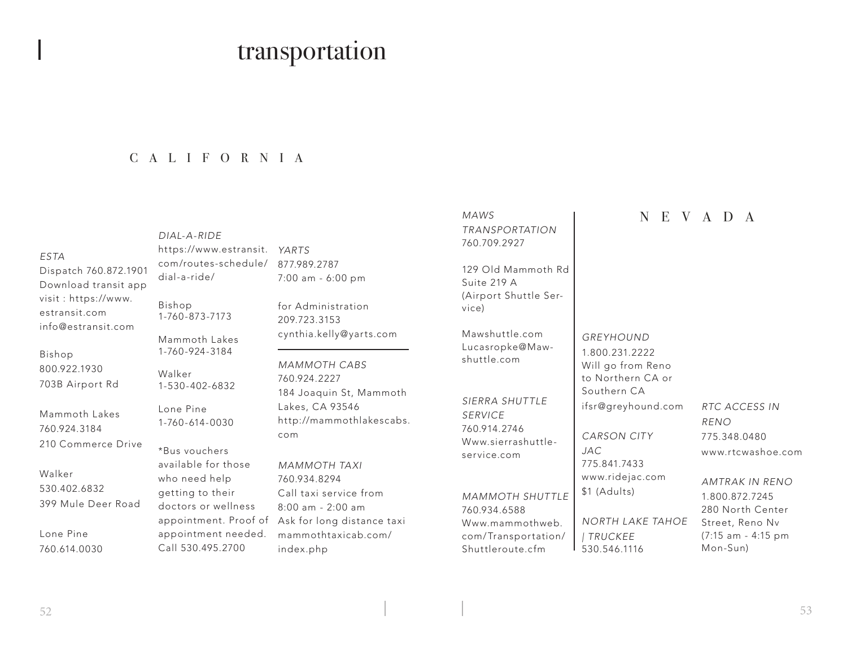# transportation

## CALIFORNIA

### *ESTA*

Dispatch 760.872.1901 Download transit app visit : https://www. estransit.com info@estransit.com

Bishop 800.922.1930 703B Airport Rd

Mammoth Lakes 760.924.3184 210 Commerce Drive

Walker 530.402.6832 399 Mule Deer Road

Lone Pine 760.614.0030

*YARTS* https://www.estransit. *DIAL-A-RIDE* com/routes-schedule/ dial-a-ride/

Bishop 1-760-873-7173

Mammoth Lakes 1-760-924-3184

Walker 1-530-402-6832

Lone Pine 1-760-614-0030

\*Bus vouchers available for those who need help getting to their doctors or wellness appointment needed. Call 530.495.2700

877.989.2787 7:00 am - 6:00 pm

for Administration 209.723.3153 cynthia.kelly@yarts.com

*MAMMOTH CABS* 760.924.2227 184 Joaquin St, Mammoth Lakes, CA 93546 http://mammothlakescabs. com

*MAMMOTH TAXI* 760.934.8294 Call taxi service from 8:00 am - 2:00 am appointment. Proof of Ask for long distance taxi mammothtaxicab.com/ index.php

## *MAWS*

*TRANSPORTATION* 760.709.2927

129 Old Mammoth Rd Suite 219 A (Airport Shuttle Service)

Mawshuttle.com Lucasropke@Mawshuttle.com

*SIERRA SHUTTLE SERVICE* 760.914.2746 Www.sierrashuttleservice.com

*MAMMOTH SHUTTLE* 760.934.6588 Www.mammothweb. com/Transportation/ Shuttleroute.cfm

## NEVADA

*GREYHOUND* 1.800.231.2222 Will go from Reno to Northern CA or Southern CA

ifsr@greyhound.com

*NORTH LAKE TAHOE* 

*CARSON CITY*

775.841.7433 www.ridejac.com

\$1 (Adults)

*| TRUCKEE* 530.546.1116

*JAC*

*RTC ACCESS IN RENO* 775.348.0480 www.rtcwashoe.com

> *AMTRAK IN RENO* 1.800.872.7245 280 North Center Street, Reno Nv (7:15 am - 4:15 pm Mon-Sun)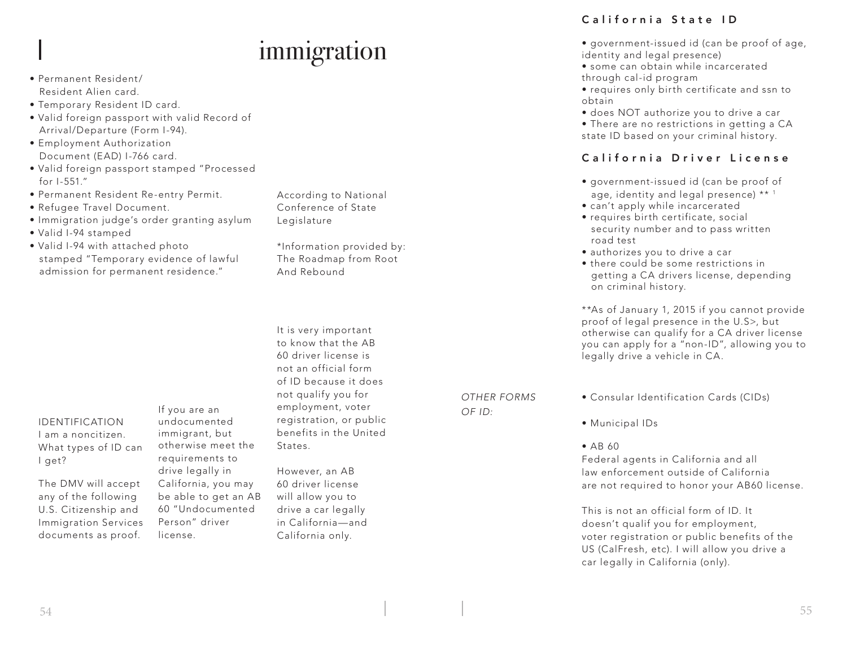# immigration

- Permanent Resident/ Resident Alien card.
- Temporary Resident ID card.
- Valid foreign passport with valid Record of Arrival/Departure (Form I-94).
- Employment Authorization Document (EAD) I-766 card.
- Valid foreign passport stamped "Processed for I-551."
- Permanent Resident Re-entry Permit.
- Refugee Travel Document.
- Immigration judge's order granting asylum
- Valid I-94 stamped
- Valid I-94 with attached photo stamped "Temporary evidence of lawful admission for permanent residence."

### IDENTIFICATION I am a noncitizen. What types of ID can I get?

The DMV will accept any of the following U.S. Citizenship and Immigration Services documents as proof.

If you are an undocumented immigrant, but otherwise meet the requirements to drive legally in California, you may be able to get an AB 60 "Undocumented Person" driver license.

According to National Conference of State **Legislature** 

\*Information provided by: The Roadmap from Root And Rebound

It is very important to know that the AB 60 driver license is not an official form of ID because it does not qualify you for employment, voter registration, or public benefits in the United States.

However, an AB 60 driver license will allow you to drive a car legally in California—and California only.

# California State ID

- government-issued id (can be proof of age, identity and legal presence)
- some can obtain while incarcerated through cal-id program
- requires only birth certificate and ssn to obtain
- does NOT authorize you to drive a car

• There are no restrictions in getting a CA state ID based on your criminal history.

## California Driver License

- government-issued id (can be proof of age, identity and legal presence) \*\* 1
- can't apply while incarcerated
- requires birth certificate, social security number and to pass written road test
- authorizes you to drive a car
- there could be some restrictions in getting a CA drivers license, depending on criminal history.

\*\*As of January 1, 2015 if you cannot provide proof of legal presence in the U.S>, but otherwise can qualify for a CA driver license you can apply for a "non-ID", allowing you to legally drive a vehicle in CA.

*OTHER FORMS OF ID:*

- Consular Identification Cards (CIDs)
- Municipal IDs
- AB 60

Federal agents in California and all law enforcement outside of California are not required to honor your AB60 license.

This is not an official form of ID. It doesn't qualif you for employment, voter registration or public benefits of the US (CalFresh, etc). I will allow you drive a car legally in California (only).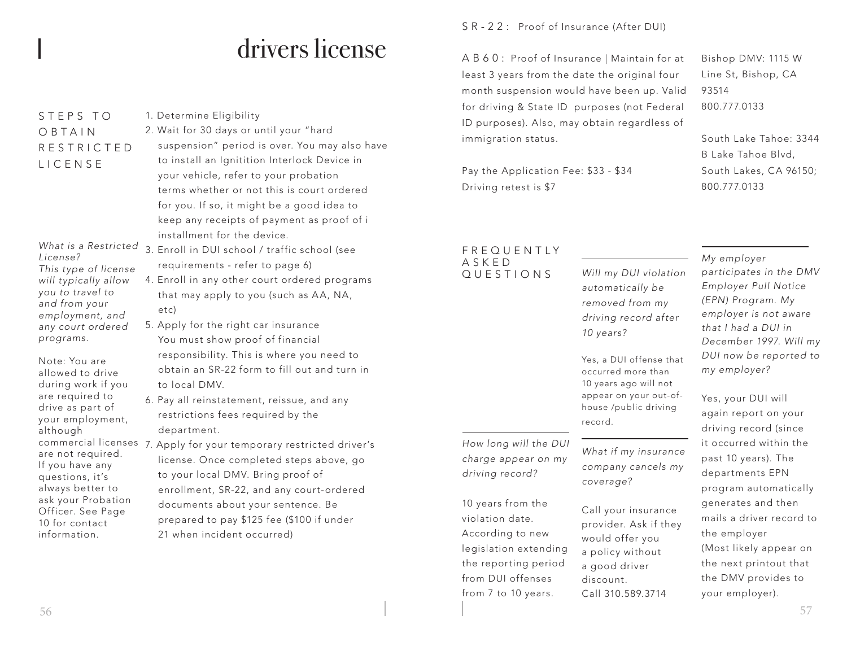# drivers license

## S T F P S T O O B T A I N R E S T R I C T E D LICENSE

### *What is a Restricted License? This type of license*

*will typically allow you to travel to and from your employment, and any court ordered programs.* 

Note: You are allowed to drive during work if you are required to drive as part of your employment, although are not required. If you have any questions, it's always better to ask your Probation Officer. See Page 10 for contact information.

# 1. Determine Eligibility 2. Wait for 30 days or until your "hard

- suspension" period is over. You may also have to install an Ignitition Interlock Device in your vehicle, refer to your probation terms whether or not this is court ordered for you. If so, it might be a good idea to keep any receipts of payment as proof of i installment for the device.
- 3. Enroll in DUI school / traffic school (see requirements - refer to page 6)
	- 4. Enroll in any other court ordered programs that may apply to you (such as AA, NA, etc)
	- 5. Apply for the right car insurance You must show proof of financial responsibility. This is where you need to obtain an SR-22 form to fill out and turn in to local DMV.
	- 6. Pay all reinstatement, reissue, and any restrictions fees required by the department.
- commercial licenses 7. Apply for your temporary restricted driver's license. Once completed steps above, go to your local DMV. Bring proof of enrollment, SR-22, and any court-ordered documents about your sentence. Be prepared to pay \$125 fee (\$100 if under 21 when incident occurred)

SR-22: Proof of Insurance (After DUI)

AB60: Proof of Insurance | Maintain for at least 3 years from the date the original four month suspension would have been up. Valid for driving & State ID purposes (not Federal ID purposes). Also, may obtain regardless of immigration status.

Pay the Application Fee: \$33 - \$34 Driving retest is \$7

### FREQUENTLY ASKED QUESTIONS

*How long will the DUI charge appear on my driving record?*

10 years from the violation date. According to new legislation extending the reporting period from DUI offenses from 7 to 10 years.

*Will my DUI violation automatically be removed from my driving record after 10 years?*

Yes, a DUI offense that occurred more than 10 years ago will not appear on your out-ofhouse /public driving record.

*What if my insurance company cancels my coverage?* 

Call your insurance provider. Ask if they would offer you a policy without a good driver discount. Call 310.589.3714

Bishop DMV: 1115 W Line St, Bishop, CA 93514 800.777.0133

South Lake Tahoe: 3344 B Lake Tahoe Blvd, South Lakes, CA 96150; 800.777.0133

*My employer participates in the DMV Employer Pull Notice (EPN) Program. My employer is not aware that I had a DUI in December 1997. Will my DUI now be reported to my employer?*

Yes, your DUI will again report on your driving record (since it occurred within the past 10 years). The departments EPN program automatically generates and then mails a driver record to the employer (Most likely appear on the next printout that the DMV provides to your employer).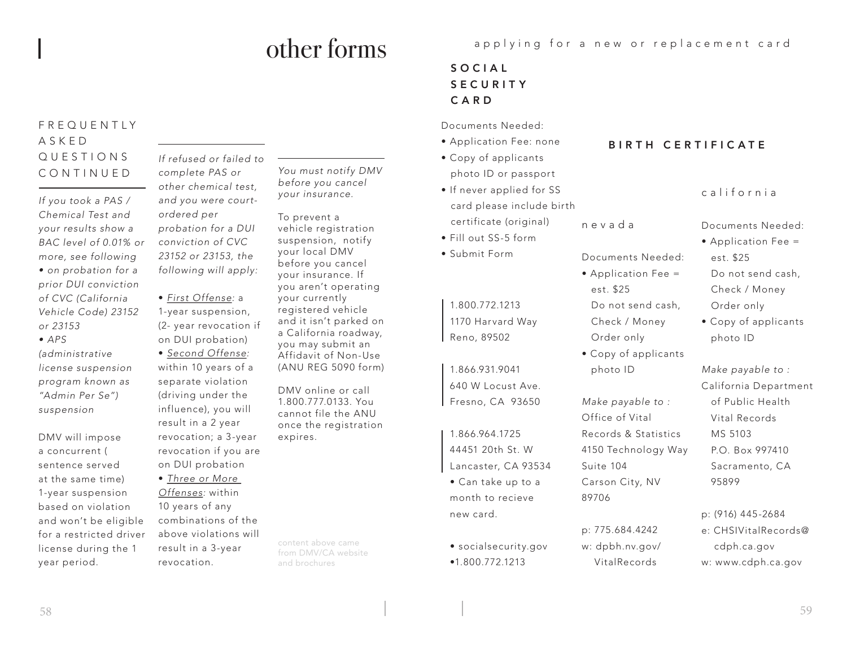# other forms

## FREQUENTLY ASKED QUESTIONS CONTINUED

*If you took a PAS / Chemical Test and your results show a BAC level of 0.01% or more, see following • on probation for a prior DUI conviction of CVC (California Vehicle Code) 23152 or 23153*

*• APS* 

*(administrative license suspension program known as "Admin Per Se") suspension*

DMV will impose a concurrent ( sentence served at the same time) 1-year suspension based on violation and won't be eligible for a restricted driver license during the 1 year period.

*If refused or failed to complete PAS or other chemical test, and you were courtordered per probation for a DUI conviction of CVC 23152 or 23153, the following will apply:*

• *First Offense:* a 1-year suspension, (2- year revocation if on DUI probation)

• *Second Offense:*  within 10 years of a separate violation (driving under the influence), you will result in a 2 year revocation; a 3-year revocation if you are on DUI probation

• *Three or More Offenses:* within 10 years of any combinations of the above violations will result in a 3-year revocation.

*You must notify DMV before you cancel your insurance.*

To prevent a vehicle registration suspension, notify your local DMV before you cancel your insurance. If you aren't operating your currently registered vehicle and it isn't parked on a California roadway, you may submit an Affidavit of Non-Use (ANU REG 5090 form)

DMV online or call 1.800.777.0133. You cannot file the ANU once the registration expires.

content above came from DMV/CA website and brochures

applying for a new or replacement card

Documents Needed: • Application Fee =

 Do not send cash, Check / Money Order only

• Copy of applicants

*Make payable to :* Office of Vital

Records & Statistics 4150 Technology Way

est. \$25

photo ID

Suite 104

89706

Carson City, NV

p: 775.684.4242 w: dpbh.nv.gov/ VitalRecords

S O C I A L S E C U R I T Y CARD

Documents Needed:

- Application Fee: none
- Copy of applicants photo ID or passport
- nevada • If never applied for SS card please include birth certificate (original)
- Fill out SS-5 form
- Submit Form

1.800.772.1213 1170 Harvard Way Reno, 89502

1.866.931.9041 640 W Locust Ave. Fresno, CA 93650

1.866.964.1725 44451 20th St. W Lancaster, CA 93534

• Can take up to a month to recieve new card.

• socialsecurity.gov •1.800.772.1213

### BIRTH CERTIFICATE

## california

Documents Needed:

- Application Fee = est. \$25 Do not send cash, Check / Money Order only
- Copy of applicants photo ID

*Make payable to :* California Department of Public Health Vital Records MS 5103 P.O. Box 997410 Sacramento, CA 95899

p: (916) 445-2684 e: CHSIVitalRecords@ cdph.ca.gov w: www.cdph.ca.gov